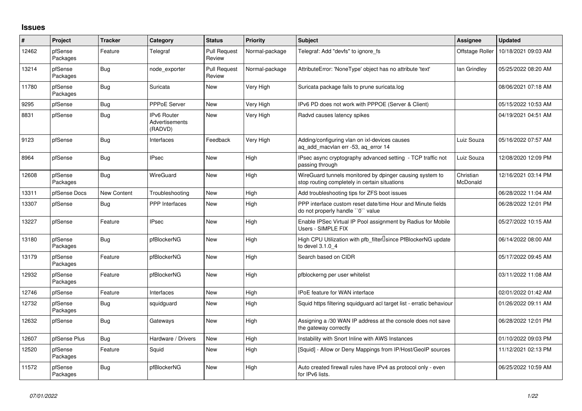## **Issues**

| $\#$  | Project             | <b>Tracker</b> | Category                                               | <b>Status</b>                 | <b>Priority</b> | <b>Subject</b>                                                                                            | Assignee              | <b>Updated</b>      |
|-------|---------------------|----------------|--------------------------------------------------------|-------------------------------|-----------------|-----------------------------------------------------------------------------------------------------------|-----------------------|---------------------|
| 12462 | pfSense<br>Packages | Feature        | Telegraf                                               | <b>Pull Request</b><br>Review | Normal-package  | Telegraf: Add "devfs" to ignore fs                                                                        | Offstage Roller       | 10/18/2021 09:03 AM |
| 13214 | pfSense<br>Packages | Bug            | node exporter                                          | <b>Pull Request</b><br>Review | Normal-package  | AttributeError: 'NoneType' object has no attribute 'text'                                                 | lan Grindley          | 05/25/2022 08:20 AM |
| 11780 | pfSense<br>Packages | Bug            | Suricata                                               | New                           | Very High       | Suricata package fails to prune suricata.log                                                              |                       | 08/06/2021 07:18 AM |
| 9295  | pfSense             | Bug            | <b>PPPoE Server</b>                                    | New                           | Very High       | IPv6 PD does not work with PPPOE (Server & Client)                                                        |                       | 05/15/2022 10:53 AM |
| 8831  | pfSense             | <b>Bug</b>     | <b>IPv6 Router</b><br><b>Advertisements</b><br>(RADVD) | New                           | Very High       | Radvd causes latency spikes                                                                               |                       | 04/19/2021 04:51 AM |
| 9123  | pfSense             | Bug            | Interfaces                                             | Feedback                      | Very High       | Adding/configuring vlan on ixl-devices causes<br>aq_add_macvlan err -53, aq_error 14                      | Luiz Souza            | 05/16/2022 07:57 AM |
| 8964  | pfSense             | Bug            | <b>IPsec</b>                                           | <b>New</b>                    | High            | IPsec async cryptography advanced setting - TCP traffic not<br>passing through                            | Luiz Souza            | 12/08/2020 12:09 PM |
| 12608 | pfSense<br>Packages | Bug            | WireGuard                                              | New                           | High            | WireGuard tunnels monitored by dpinger causing system to<br>stop routing completely in certain situations | Christian<br>McDonald | 12/16/2021 03:14 PM |
| 13311 | pfSense Docs        | New Content    | Troubleshooting                                        | <b>New</b>                    | High            | Add troubleshooting tips for ZFS boot issues                                                              |                       | 06/28/2022 11:04 AM |
| 13307 | pfSense             | Bug            | <b>PPP</b> Interfaces                                  | New                           | High            | PPP interface custom reset date/time Hour and Minute fields<br>do not properly handle "0" value           |                       | 06/28/2022 12:01 PM |
| 13227 | pfSense             | Feature        | <b>IPsec</b>                                           | New                           | High            | Enable IPSec Virtual IP Pool assignment by Radius for Mobile<br>Users - SIMPLE FIX                        |                       | 05/27/2022 10:15 AM |
| 13180 | pfSense<br>Packages | Bug            | pfBlockerNG                                            | New                           | High            | High CPU Utilization with pfb_filter <sup>[]</sup> since PfBlockerNG update<br>to devel 3.1.0 4           |                       | 06/14/2022 08:00 AM |
| 13179 | pfSense<br>Packages | Feature        | pfBlockerNG                                            | New                           | High            | Search based on CIDR                                                                                      |                       | 05/17/2022 09:45 AM |
| 12932 | pfSense<br>Packages | Feature        | pfBlockerNG                                            | New                           | High            | pfblockerng per user whitelist                                                                            |                       | 03/11/2022 11:08 AM |
| 12746 | pfSense             | Feature        | Interfaces                                             | New                           | High            | <b>IPoE</b> feature for WAN interface                                                                     |                       | 02/01/2022 01:42 AM |
| 12732 | pfSense<br>Packages | Bug            | squidguard                                             | New                           | High            | Squid https filtering squidguard acl target list - erratic behaviour                                      |                       | 01/26/2022 09:11 AM |
| 12632 | pfSense             | Bug            | Gateways                                               | New                           | High            | Assigning a /30 WAN IP address at the console does not save<br>the gateway correctly                      |                       | 06/28/2022 12:01 PM |
| 12607 | pfSense Plus        | Bug            | Hardware / Drivers                                     | New                           | High            | Instability with Snort Inline with AWS Instances                                                          |                       | 01/10/2022 09:03 PM |
| 12520 | pfSense<br>Packages | Feature        | Squid                                                  | New                           | High            | [Squid] - Allow or Deny Mappings from IP/Host/GeoIP sources                                               |                       | 11/12/2021 02:13 PM |
| 11572 | pfSense<br>Packages | <b>Bug</b>     | pfBlockerNG                                            | <b>New</b>                    | High            | Auto created firewall rules have IPv4 as protocol only - even<br>for IPv6 lists.                          |                       | 06/25/2022 10:59 AM |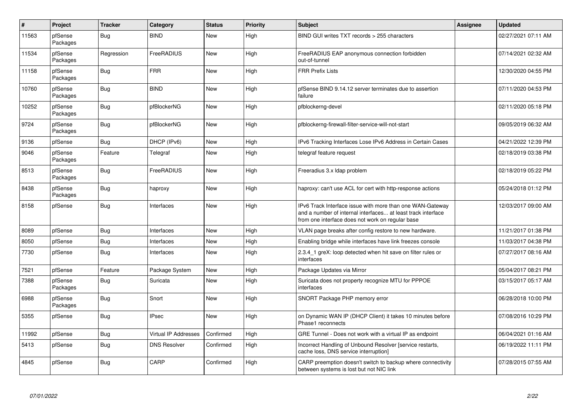| $\pmb{\#}$ | Project             | <b>Tracker</b> | Category             | <b>Status</b> | <b>Priority</b> | <b>Subject</b>                                                                                                                                                                | Assignee | <b>Updated</b>      |
|------------|---------------------|----------------|----------------------|---------------|-----------------|-------------------------------------------------------------------------------------------------------------------------------------------------------------------------------|----------|---------------------|
| 11563      | pfSense<br>Packages | Bug            | <b>BIND</b>          | New           | High            | BIND GUI writes TXT records > 255 characters                                                                                                                                  |          | 02/27/2021 07:11 AM |
| 11534      | pfSense<br>Packages | Regression     | FreeRADIUS           | New           | High            | FreeRADIUS EAP anonymous connection forbidden<br>out-of-tunnel                                                                                                                |          | 07/14/2021 02:32 AM |
| 11158      | pfSense<br>Packages | Bug            | <b>FRR</b>           | New           | High            | <b>FRR Prefix Lists</b>                                                                                                                                                       |          | 12/30/2020 04:55 PM |
| 10760      | pfSense<br>Packages | <b>Bug</b>     | <b>BIND</b>          | <b>New</b>    | High            | pfSense BIND 9.14.12 server terminates due to assertion<br>failure                                                                                                            |          | 07/11/2020 04:53 PM |
| 10252      | pfSense<br>Packages | <b>Bug</b>     | pfBlockerNG          | New           | High            | pfblockerng-devel                                                                                                                                                             |          | 02/11/2020 05:18 PM |
| 9724       | pfSense<br>Packages | Bug            | pfBlockerNG          | New           | High            | pfblockerng-firewall-filter-service-will-not-start                                                                                                                            |          | 09/05/2019 06:32 AM |
| 9136       | pfSense             | Bug            | DHCP (IPv6)          | New           | High            | IPv6 Tracking Interfaces Lose IPv6 Address in Certain Cases                                                                                                                   |          | 04/21/2022 12:39 PM |
| 9046       | pfSense<br>Packages | Feature        | Telegraf             | New           | High            | telegraf feature request                                                                                                                                                      |          | 02/18/2019 03:38 PM |
| 8513       | pfSense<br>Packages | Bug            | FreeRADIUS           | New           | High            | Freeradius 3.x Idap problem                                                                                                                                                   |          | 02/18/2019 05:22 PM |
| 8438       | pfSense<br>Packages | <b>Bug</b>     | haproxy              | New           | High            | haproxy: can't use ACL for cert with http-response actions                                                                                                                    |          | 05/24/2018 01:12 PM |
| 8158       | pfSense             | Bug            | Interfaces           | New           | High            | IPv6 Track Interface issue with more than one WAN-Gateway<br>and a number of internal interfaces at least track interface<br>from one interface does not work on regular base |          | 12/03/2017 09:00 AM |
| 8089       | pfSense             | Bug            | Interfaces           | New           | High            | VLAN page breaks after config restore to new hardware.                                                                                                                        |          | 11/21/2017 01:38 PM |
| 8050       | pfSense             | <b>Bug</b>     | Interfaces           | <b>New</b>    | High            | Enabling bridge while interfaces have link freezes console                                                                                                                    |          | 11/03/2017 04:38 PM |
| 7730       | pfSense             | Bug            | Interfaces           | New           | High            | 2.3.4 1 greX: loop detected when hit save on filter rules or<br>interfaces                                                                                                    |          | 07/27/2017 08:16 AM |
| 7521       | pfSense             | Feature        | Package System       | <b>New</b>    | High            | Package Updates via Mirror                                                                                                                                                    |          | 05/04/2017 08:21 PM |
| 7388       | pfSense<br>Packages | Bug            | Suricata             | New           | High            | Suricata does not property recognize MTU for PPPOE<br>interfaces                                                                                                              |          | 03/15/2017 05:17 AM |
| 6988       | pfSense<br>Packages | Bug            | Snort                | New           | High            | SNORT Package PHP memory error                                                                                                                                                |          | 06/28/2018 10:00 PM |
| 5355       | pfSense             | Bug            | <b>IPsec</b>         | New           | High            | on Dynamic WAN IP (DHCP Client) it takes 10 minutes before<br>Phase1 reconnects                                                                                               |          | 07/08/2016 10:29 PM |
| 11992      | pfSense             | <b>Bug</b>     | Virtual IP Addresses | Confirmed     | High            | GRE Tunnel - Does not work with a virtual IP as endpoint                                                                                                                      |          | 06/04/2021 01:16 AM |
| 5413       | pfSense             | Bug            | <b>DNS Resolver</b>  | Confirmed     | High            | Incorrect Handling of Unbound Resolver [service restarts,<br>cache loss, DNS service interruption]                                                                            |          | 06/19/2022 11:11 PM |
| 4845       | pfSense             | Bug            | CARP                 | Confirmed     | High            | CARP preemption doesn't switch to backup where connectivity<br>between systems is lost but not NIC link                                                                       |          | 07/28/2015 07:55 AM |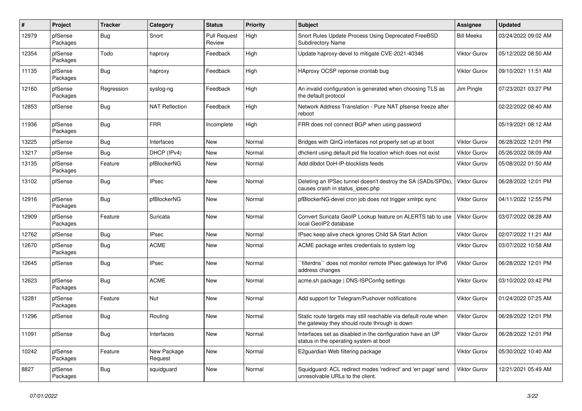| #     | Project             | <b>Tracker</b> | Category               | <b>Status</b>                 | <b>Priority</b> | <b>Subject</b>                                                                                                   | <b>Assignee</b>     | <b>Updated</b>      |
|-------|---------------------|----------------|------------------------|-------------------------------|-----------------|------------------------------------------------------------------------------------------------------------------|---------------------|---------------------|
| 12979 | pfSense<br>Packages | Bug            | Snort                  | <b>Pull Request</b><br>Review | High            | Snort Rules Update Process Using Deprecated FreeBSD<br><b>Subdirectory Name</b>                                  | <b>Bill Meeks</b>   | 03/24/2022 09:02 AM |
| 12354 | pfSense<br>Packages | Todo           | haproxy                | Feedback                      | High            | Update haproxy-devel to mitigate CVE-2021-40346                                                                  | <b>Viktor Gurov</b> | 05/12/2022 08:50 AM |
| 11135 | pfSense<br>Packages | <b>Bug</b>     | haproxy                | Feedback                      | High            | HAproxy OCSP reponse crontab bug                                                                                 | <b>Viktor Gurov</b> | 09/10/2021 11:51 AM |
| 12160 | pfSense<br>Packages | Regression     | syslog-ng              | Feedback                      | High            | An invalid configuration is generated when choosing TLS as<br>the default protocol                               | Jim Pingle          | 07/23/2021 03:27 PM |
| 12853 | pfSense             | Bug            | <b>NAT Reflection</b>  | Feedback                      | High            | Network Address Translation - Pure NAT pfsense freeze after<br>reboot                                            |                     | 02/22/2022 08:40 AM |
| 11936 | pfSense<br>Packages | Bug            | <b>FRR</b>             | Incomplete                    | High            | FRR does not connect BGP when using password                                                                     |                     | 05/19/2021 08:12 AM |
| 13225 | pfSense             | <b>Bug</b>     | Interfaces             | New                           | Normal          | Bridges with QinQ interfaces not properly set up at boot                                                         | <b>Viktor Gurov</b> | 06/28/2022 12:01 PM |
| 13217 | pfSense             | Bug            | DHCP (IPv4)            | New                           | Normal          | dholient using default pid file location which does not exist                                                    | <b>Viktor Gurov</b> | 05/26/2022 08:09 AM |
| 13135 | pfSense<br>Packages | Feature        | pfBlockerNG            | New                           | Normal          | Add dibdot DoH-IP-blocklists feeds                                                                               | <b>Viktor Gurov</b> | 05/08/2022 01:50 AM |
| 13102 | pfSense             | Bug            | <b>IPsec</b>           | New                           | Normal          | Deleting an IPSec tunnel doesn't destroy the SA (SADs/SPDs).<br>causes crash in status ipsec.php                 | Viktor Gurov        | 06/28/2022 12:01 PM |
| 12916 | pfSense<br>Packages | Bug            | pfBlockerNG            | <b>New</b>                    | Normal          | pfBlockerNG-devel cron job does not trigger xmlrpc sync                                                          | Viktor Gurov        | 04/11/2022 12:55 PM |
| 12909 | pfSense<br>Packages | Feature        | Suricata               | New                           | Normal          | Convert Suricata GeoIP Lookup feature on ALERTS tab to use<br>local GeoIP2 database                              | <b>Viktor Gurov</b> | 03/07/2022 08:28 AM |
| 12762 | pfSense             | Bug            | <b>IPsec</b>           | <b>New</b>                    | Normal          | IPsec keep alive check ignores Child SA Start Action                                                             | Viktor Gurov        | 02/07/2022 11:21 AM |
| 12670 | pfSense<br>Packages | Bug            | <b>ACME</b>            | <b>New</b>                    | Normal          | ACME package writes credentials to system log                                                                    | <b>Viktor Gurov</b> | 03/07/2022 10:58 AM |
| 12645 | pfSense             | Bug            | <b>IPsec</b>           | <b>New</b>                    | Normal          | filterdns" does not monitor remote IPsec gateways for IPv6<br>address changes                                    | Viktor Gurov        | 06/28/2022 12:01 PM |
| 12623 | pfSense<br>Packages | <b>Bug</b>     | <b>ACME</b>            | New                           | Normal          | acme.sh package   DNS-ISPConfig settings                                                                         | Viktor Gurov        | 03/10/2022 03:42 PM |
| 12281 | pfSense<br>Packages | Feature        | Nut                    | New                           | Normal          | Add support for Telegram/Pushover notifications                                                                  | <b>Viktor Gurov</b> | 01/24/2022 07:25 AM |
| 11296 | pfSense             | <b>Bug</b>     | Routing                | New                           | Normal          | Static route targets may still reachable via default route when<br>the gateway they should route through is down | <b>Viktor Gurov</b> | 06/28/2022 12:01 PM |
| 11091 | pfSense             | <b>Bug</b>     | Interfaces             | New                           | Normal          | Interfaces set as disabled in the configuration have an UP<br>status in the operating system at boot             | <b>Viktor Gurov</b> | 06/28/2022 12:01 PM |
| 10242 | pfSense<br>Packages | Feature        | New Package<br>Request | New                           | Normal          | E2guardian Web filtering package                                                                                 | <b>Viktor Gurov</b> | 05/30/2022 10:40 AM |
| 8827  | pfSense<br>Packages | Bug            | squidguard             | <b>New</b>                    | Normal          | Squidguard: ACL redirect modes 'redirect' and 'err page' send<br>unresolvable URLs to the client.                | Viktor Gurov        | 12/21/2021 05:49 AM |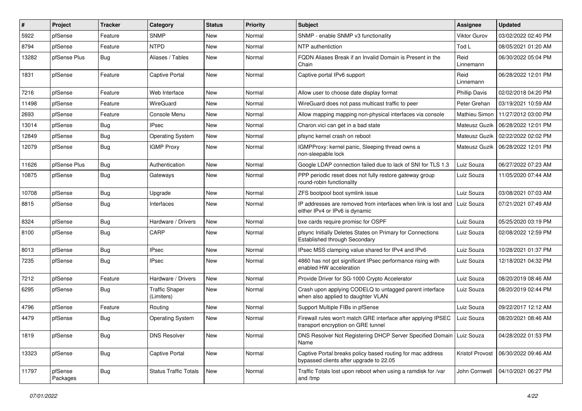| $\#$  | Project             | <b>Tracker</b> | Category                            | <b>Status</b> | <b>Priority</b> | <b>Subject</b>                                                                                        | Assignee             | <b>Updated</b>      |
|-------|---------------------|----------------|-------------------------------------|---------------|-----------------|-------------------------------------------------------------------------------------------------------|----------------------|---------------------|
| 5922  | pfSense             | Feature        | <b>SNMP</b>                         | New           | Normal          | SNMP - enable SNMP v3 functionality                                                                   | <b>Viktor Gurov</b>  | 03/02/2022 02:40 PM |
| 8794  | pfSense             | Feature        | <b>NTPD</b>                         | <b>New</b>    | Normal          | NTP authentiction                                                                                     | Tod L                | 08/05/2021 01:20 AM |
| 13282 | pfSense Plus        | Bug            | Aliases / Tables                    | New           | Normal          | FQDN Aliases Break if an Invalid Domain is Present in the<br>Chain                                    | Reid<br>Linnemann    | 06/30/2022 05:04 PM |
| 1831  | pfSense             | Feature        | <b>Captive Portal</b>               | New           | Normal          | Captive portal IPv6 support                                                                           | Reid<br>Linnemann    | 06/28/2022 12:01 PM |
| 7216  | pfSense             | Feature        | Web Interface                       | New           | Normal          | Allow user to choose date display format                                                              | <b>Phillip Davis</b> | 02/02/2018 04:20 PM |
| 11498 | pfSense             | Feature        | WireGuard                           | New           | Normal          | WireGuard does not pass multicast traffic to peer                                                     | Peter Grehan         | 03/19/2021 10:59 AM |
| 2693  | pfSense             | Feature        | Console Menu                        | New           | Normal          | Allow mapping mapping non-physical interfaces via console                                             | Mathieu Simon        | 11/27/2012 03:00 PM |
| 13014 | pfSense             | Bug            | IPsec                               | New           | Normal          | Charon.vici can get in a bad state                                                                    | Mateusz Guzik        | 06/28/2022 12:01 PM |
| 12849 | pfSense             | Bug            | <b>Operating System</b>             | New           | Normal          | pfsync kernel crash on reboot                                                                         | Mateusz Guzik        | 02/22/2022 02:02 PM |
| 12079 | pfSense             | Bug            | <b>IGMP Proxy</b>                   | New           | Normal          | IGMPProxy: kernel panic, Sleeping thread owns a<br>non-sleepable lock                                 | Mateusz Guzik        | 06/28/2022 12:01 PM |
| 11626 | pfSense Plus        | Bug            | Authentication                      | New           | Normal          | Google LDAP connection failed due to lack of SNI for TLS 1.3                                          | Luiz Souza           | 06/27/2022 07:23 AM |
| 10875 | pfSense             | Bug            | Gateways                            | New           | Normal          | PPP periodic reset does not fully restore gateway group<br>round-robin functionality                  | Luiz Souza           | 11/05/2020 07:44 AM |
| 10708 | pfSense             | Bug            | Upgrade                             | New           | Normal          | ZFS bootpool boot symlink issue                                                                       | Luiz Souza           | 03/08/2021 07:03 AM |
| 8815  | pfSense             | Bug            | Interfaces                          | New           | Normal          | IP addresses are removed from interfaces when link is lost and<br>either IPv4 or IPv6 is dynamic      | Luiz Souza           | 07/21/2021 07:49 AM |
| 8324  | pfSense             | Bug            | Hardware / Drivers                  | New           | Normal          | bxe cards require promisc for OSPF                                                                    | Luiz Souza           | 05/25/2020 03:19 PM |
| 8100  | pfSense             | Bug            | CARP                                | New           | Normal          | pfsync Initially Deletes States on Primary for Connections<br>Established through Secondary           | Luiz Souza           | 02/08/2022 12:59 PM |
| 8013  | pfSense             | Bug            | <b>IPsec</b>                        | New           | Normal          | IPsec MSS clamping value shared for IPv4 and IPv6                                                     | Luiz Souza           | 10/28/2021 01:37 PM |
| 7235  | pfSense             | Bug            | <b>IPsec</b>                        | New           | Normal          | 4860 has not got significant IPsec performance rising with<br>enabled HW acceleration                 | Luiz Souza           | 12/18/2021 04:32 PM |
| 7212  | pfSense             | Feature        | Hardware / Drivers                  | <b>New</b>    | Normal          | Provide Driver for SG-1000 Crypto Accelerator                                                         | Luiz Souza           | 08/20/2019 08:46 AM |
| 6295  | pfSense             | Bug            | <b>Traffic Shaper</b><br>(Limiters) | New           | Normal          | Crash upon applying CODELQ to untagged parent interface<br>when also applied to daughter VLAN         | Luiz Souza           | 08/20/2019 02:44 PM |
| 4796  | pfSense             | Feature        | Routing                             | <b>New</b>    | Normal          | Support Multiple FIBs in pfSense                                                                      | Luiz Souza           | 09/22/2017 12:12 AM |
| 4479  | pfSense             | Bug            | <b>Operating System</b>             | New           | Normal          | Firewall rules won't match GRE interface after applying IPSEC<br>transport encryption on GRE tunnel   | Luiz Souza           | 08/20/2021 08:46 AM |
| 1819  | pfSense             | Bug            | <b>DNS Resolver</b>                 | New           | Normal          | DNS Resolver Not Registering DHCP Server Specified Domain<br>Name                                     | Luiz Souza           | 04/28/2022 01:53 PM |
| 13323 | pfSense             | Bug            | Captive Portal                      | New           | Normal          | Captive Portal breaks policy based routing for mac address<br>bypassed clients after upgrade to 22.05 | Kristof Provost      | 06/30/2022 09:46 AM |
| 11797 | pfSense<br>Packages | <b>Bug</b>     | <b>Status Traffic Totals</b>        | New           | Normal          | Traffic Totals lost upon reboot when using a ramdisk for /var<br>and /tmp                             | John Cornwell        | 04/10/2021 06:27 PM |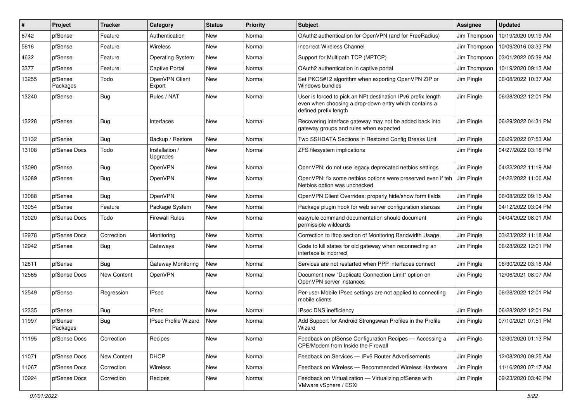| #     | Project             | <b>Tracker</b> | Category                    | <b>Status</b> | <b>Priority</b> | Subject                                                                                                                                        | <b>Assignee</b> | <b>Updated</b>      |
|-------|---------------------|----------------|-----------------------------|---------------|-----------------|------------------------------------------------------------------------------------------------------------------------------------------------|-----------------|---------------------|
| 6742  | pfSense             | Feature        | Authentication              | New           | Normal          | OAuth2 authentication for OpenVPN (and for FreeRadius)                                                                                         | Jim Thompson    | 10/19/2020 09:19 AM |
| 5616  | pfSense             | Feature        | <b>Wireless</b>             | New           | Normal          | <b>Incorrect Wireless Channel</b>                                                                                                              | Jim Thompson    | 10/09/2016 03:33 PM |
| 4632  | pfSense             | Feature        | <b>Operating System</b>     | New           | Normal          | Support for Multipath TCP (MPTCP)                                                                                                              | Jim Thompson    | 03/01/2022 05:39 AM |
| 3377  | pfSense             | Feature        | Captive Portal              | New           | Normal          | OAuth2 authentication in captive portal                                                                                                        | Jim Thompson    | 10/19/2020 09:13 AM |
| 13255 | pfSense<br>Packages | Todo           | OpenVPN Client<br>Export    | New           | Normal          | Set PKCS#12 algorithm when exporting OpenVPN ZIP or<br>Windows bundles                                                                         | Jim Pingle      | 06/08/2022 10:37 AM |
| 13240 | pfSense             | Bug            | Rules / NAT                 | New           | Normal          | User is forced to pick an NPt destination IPv6 prefix length<br>even when choosing a drop-down entry which contains a<br>defined prefix length | Jim Pingle      | 06/28/2022 12:01 PM |
| 13228 | pfSense             | Bug            | Interfaces                  | New           | Normal          | Recovering interface gateway may not be added back into<br>gateway groups and rules when expected                                              | Jim Pingle      | 06/29/2022 04:31 PM |
| 13132 | pfSense             | Bug            | Backup / Restore            | New           | Normal          | Two SSHDATA Sections in Restored Config Breaks Unit                                                                                            | Jim Pingle      | 06/29/2022 07:53 AM |
| 13108 | pfSense Docs        | Todo           | Installation /<br>Upgrades  | New           | Normal          | ZFS filesystem implications                                                                                                                    | Jim Pingle      | 04/27/2022 03:18 PM |
| 13090 | pfSense             | <b>Bug</b>     | OpenVPN                     | New           | Normal          | OpenVPN: do not use legacy deprecated netbios settings                                                                                         | Jim Pingle      | 04/22/2022 11:19 AM |
| 13089 | pfSense             | <b>Bug</b>     | OpenVPN                     | New           | Normal          | OpenVPN: fix some netbios options were preserved even if teh<br>Netbios option was unchecked                                                   | Jim Pingle      | 04/22/2022 11:06 AM |
| 13088 | pfSense             | Bug            | OpenVPN                     | New           | Normal          | OpenVPN Client Overrides: properly hide/show form fields                                                                                       | Jim Pingle      | 06/08/2022 09:15 AM |
| 13054 | pfSense             | Feature        | Package System              | New           | Normal          | Package plugin hook for web server configuration stanzas                                                                                       | Jim Pingle      | 04/12/2022 03:04 PM |
| 13020 | pfSense Docs        | Todo           | <b>Firewall Rules</b>       | New           | Normal          | easyrule command documentation should document<br>permissible wildcards                                                                        | Jim Pingle      | 04/04/2022 08:01 AM |
| 12978 | pfSense Docs        | Correction     | Monitoring                  | New           | Normal          | Correction to iftop section of Monitoring Bandwidth Usage                                                                                      | Jim Pingle      | 03/23/2022 11:18 AM |
| 12942 | pfSense             | Bug            | Gateways                    | New           | Normal          | Code to kill states for old gateway when reconnecting an<br>interface is incorrect                                                             | Jim Pingle      | 06/28/2022 12:01 PM |
| 12811 | pfSense             | Bug            | Gateway Monitoring          | New           | Normal          | Services are not restarted when PPP interfaces connect                                                                                         | Jim Pingle      | 06/30/2022 03:18 AM |
| 12565 | pfSense Docs        | New Content    | OpenVPN                     | New           | Normal          | Document new "Duplicate Connection Limit" option on<br>OpenVPN server instances                                                                | Jim Pingle      | 12/06/2021 08:07 AM |
| 12549 | pfSense             | Regression     | <b>IPsec</b>                | New           | Normal          | Per-user Mobile IPsec settings are not applied to connecting<br>mobile clients                                                                 | Jim Pingle      | 06/28/2022 12:01 PM |
| 12335 | pfSense             | <b>Bug</b>     | <b>IPsec</b>                | New           | Normal          | <b>IPsec DNS inefficiency</b>                                                                                                                  | Jim Pingle      | 06/28/2022 12:01 PM |
| 11997 | pfSense<br>Packages | <b>Bug</b>     | <b>IPsec Profile Wizard</b> | <b>New</b>    | Normal          | Add Support for Android Strongswan Profiles in the Profile<br>Wizard                                                                           | Jim Pingle      | 07/10/2021 07:51 PM |
| 11195 | pfSense Docs        | Correction     | Recipes                     | New           | Normal          | Feedback on pfSense Configuration Recipes - Accessing a<br>CPE/Modem from Inside the Firewall                                                  | Jim Pingle      | 12/30/2020 01:13 PM |
| 11071 | pfSense Docs        | New Content    | <b>DHCP</b>                 | New           | Normal          | Feedback on Services - IPv6 Router Advertisements                                                                                              | Jim Pingle      | 12/08/2020 09:25 AM |
| 11067 | pfSense Docs        | Correction     | Wireless                    | New           | Normal          | Feedback on Wireless - Recommended Wireless Hardware                                                                                           | Jim Pingle      | 11/16/2020 07:17 AM |
| 10924 | pfSense Docs        | Correction     | Recipes                     | New           | Normal          | Feedback on Virtualization - Virtualizing pfSense with<br>VMware vSphere / ESXi                                                                | Jim Pingle      | 09/23/2020 03:46 PM |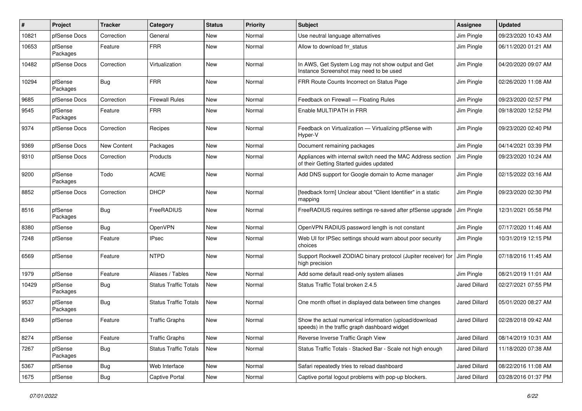| ∦     | Project             | <b>Tracker</b> | Category                     | <b>Status</b> | <b>Priority</b> | <b>Subject</b>                                                                                          | <b>Assignee</b> | <b>Updated</b>      |
|-------|---------------------|----------------|------------------------------|---------------|-----------------|---------------------------------------------------------------------------------------------------------|-----------------|---------------------|
| 10821 | pfSense Docs        | Correction     | General                      | New           | Normal          | Use neutral language alternatives                                                                       | Jim Pingle      | 09/23/2020 10:43 AM |
| 10653 | pfSense<br>Packages | Feature        | <b>FRR</b>                   | <b>New</b>    | Normal          | Allow to download frr status                                                                            | Jim Pingle      | 06/11/2020 01:21 AM |
| 10482 | pfSense Docs        | Correction     | Virtualization               | New           | Normal          | In AWS, Get System Log may not show output and Get<br>Instance Screenshot may need to be used           | Jim Pingle      | 04/20/2020 09:07 AM |
| 10294 | pfSense<br>Packages | <b>Bug</b>     | <b>FRR</b>                   | New           | Normal          | FRR Route Counts Incorrect on Status Page                                                               | Jim Pingle      | 02/26/2020 11:08 AM |
| 9685  | pfSense Docs        | Correction     | <b>Firewall Rules</b>        | New           | Normal          | Feedback on Firewall - Floating Rules                                                                   | Jim Pingle      | 09/23/2020 02:57 PM |
| 9545  | pfSense<br>Packages | Feature        | <b>FRR</b>                   | New           | Normal          | Enable MULTIPATH in FRR                                                                                 | Jim Pingle      | 09/18/2020 12:52 PM |
| 9374  | pfSense Docs        | Correction     | Recipes                      | New           | Normal          | Feedback on Virtualization - Virtualizing pfSense with<br>Hyper-V                                       | Jim Pingle      | 09/23/2020 02:40 PM |
| 9369  | pfSense Docs        | New Content    | Packages                     | <b>New</b>    | Normal          | Document remaining packages                                                                             | Jim Pingle      | 04/14/2021 03:39 PM |
| 9310  | pfSense Docs        | Correction     | Products                     | New           | Normal          | Appliances with internal switch need the MAC Address section<br>of their Getting Started guides updated | Jim Pingle      | 09/23/2020 10:24 AM |
| 9200  | pfSense<br>Packages | Todo           | <b>ACME</b>                  | New           | Normal          | Add DNS support for Google domain to Acme manager                                                       | Jim Pingle      | 02/15/2022 03:16 AM |
| 8852  | pfSense Docs        | Correction     | <b>DHCP</b>                  | New           | Normal          | [feedback form] Unclear about "Client Identifier" in a static<br>mapping                                | Jim Pingle      | 09/23/2020 02:30 PM |
| 8516  | pfSense<br>Packages | Bug            | FreeRADIUS                   | New           | Normal          | FreeRADIUS requires settings re-saved after pfSense upgrade                                             | Jim Pingle      | 12/31/2021 05:58 PM |
| 8380  | pfSense             | Bug            | OpenVPN                      | New           | Normal          | OpenVPN RADIUS password length is not constant                                                          | Jim Pingle      | 07/17/2020 11:46 AM |
| 7248  | pfSense             | Feature        | <b>IPsec</b>                 | New           | Normal          | Web UI for IPSec settings should warn about poor security<br>choices                                    | Jim Pingle      | 10/31/2019 12:15 PM |
| 6569  | pfSense             | Feature        | <b>NTPD</b>                  | New           | Normal          | Support Rockwell ZODIAC binary protocol (Jupiter receiver) for<br>high precision                        | Jim Pingle      | 07/18/2016 11:45 AM |
| 1979  | pfSense             | Feature        | Aliases / Tables             | New           | Normal          | Add some default read-only system aliases                                                               | Jim Pingle      | 08/21/2019 11:01 AM |
| 10429 | pfSense<br>Packages | Bug            | <b>Status Traffic Totals</b> | New           | Normal          | Status Traffic Total broken 2.4.5                                                                       | Jared Dillard   | 02/27/2021 07:55 PM |
| 9537  | pfSense<br>Packages | <b>Bug</b>     | <b>Status Traffic Totals</b> | New           | Normal          | One month offset in displayed data between time changes                                                 | Jared Dillard   | 05/01/2020 08:27 AM |
| 8349  | pfSense             | Feature        | <b>Traffic Graphs</b>        | <b>New</b>    | Normal          | Show the actual numerical information (upload/download<br>speeds) in the traffic graph dashboard widget | Jared Dillard   | 02/28/2018 09:42 AM |
| 8274  | pfSense             | Feature        | <b>Traffic Graphs</b>        | New           | Normal          | Reverse Inverse Traffic Graph View                                                                      | Jared Dillard   | 08/14/2019 10:31 AM |
| 7267  | pfSense<br>Packages | <b>Bug</b>     | <b>Status Traffic Totals</b> | New           | Normal          | Status Traffic Totals - Stacked Bar - Scale not high enough                                             | Jared Dillard   | 11/18/2020 07:38 AM |
| 5367  | pfSense             | Bug            | Web Interface                | New           | Normal          | Safari repeatedly tries to reload dashboard                                                             | Jared Dillard   | 08/22/2016 11:08 AM |
| 1675  | pfSense             | <b>Bug</b>     | <b>Captive Portal</b>        | New           | Normal          | Captive portal logout problems with pop-up blockers.                                                    | Jared Dillard   | 03/28/2016 01:37 PM |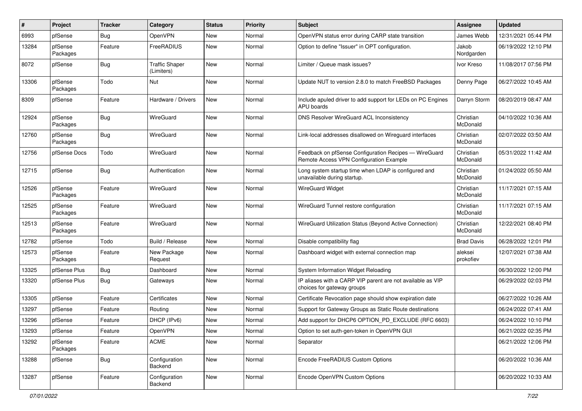| $\#$  | Project             | <b>Tracker</b> | Category                            | <b>Status</b> | <b>Priority</b> | <b>Subject</b>                                                                                   | Assignee              | <b>Updated</b>      |
|-------|---------------------|----------------|-------------------------------------|---------------|-----------------|--------------------------------------------------------------------------------------------------|-----------------------|---------------------|
| 6993  | pfSense             | Bug            | OpenVPN                             | New           | Normal          | OpenVPN status error during CARP state transition                                                | James Webb            | 12/31/2021 05:44 PM |
| 13284 | pfSense<br>Packages | Feature        | FreeRADIUS                          | New           | Normal          | Option to define "Issuer" in OPT configuration.                                                  | Jakob<br>Nordgarden   | 06/19/2022 12:10 PM |
| 8072  | pfSense             | Bug            | <b>Traffic Shaper</b><br>(Limiters) | New           | Normal          | Limiter / Queue mask issues?                                                                     | Ivor Kreso            | 11/08/2017 07:56 PM |
| 13306 | pfSense<br>Packages | Todo           | Nut                                 | New           | Normal          | Update NUT to version 2.8.0 to match FreeBSD Packages                                            | Denny Page            | 06/27/2022 10:45 AM |
| 8309  | pfSense             | Feature        | Hardware / Drivers                  | <b>New</b>    | Normal          | Include apuled driver to add support for LEDs on PC Engines<br>APU boards                        | Darryn Storm          | 08/20/2019 08:47 AM |
| 12924 | pfSense<br>Packages | Bug            | WireGuard                           | New           | Normal          | DNS Resolver WireGuard ACL Inconsistency                                                         | Christian<br>McDonald | 04/10/2022 10:36 AM |
| 12760 | pfSense<br>Packages | Bug            | WireGuard                           | <b>New</b>    | Normal          | Link-local addresses disallowed on Wireguard interfaces                                          | Christian<br>McDonald | 02/07/2022 03:50 AM |
| 12756 | pfSense Docs        | Todo           | WireGuard                           | New           | Normal          | Feedback on pfSense Configuration Recipes - WireGuard<br>Remote Access VPN Configuration Example | Christian<br>McDonald | 05/31/2022 11:42 AM |
| 12715 | pfSense             | Bug            | Authentication                      | <b>New</b>    | Normal          | Long system startup time when LDAP is configured and<br>unavailable during startup.              | Christian<br>McDonald | 01/24/2022 05:50 AM |
| 12526 | pfSense<br>Packages | Feature        | WireGuard                           | New           | Normal          | <b>WireGuard Widget</b>                                                                          | Christian<br>McDonald | 11/17/2021 07:15 AM |
| 12525 | pfSense<br>Packages | Feature        | WireGuard                           | New           | Normal          | WireGuard Tunnel restore configuration                                                           | Christian<br>McDonald | 11/17/2021 07:15 AM |
| 12513 | pfSense<br>Packages | Feature        | WireGuard                           | New           | Normal          | WireGuard Utilization Status (Beyond Active Connection)                                          | Christian<br>McDonald | 12/22/2021 08:40 PM |
| 12782 | pfSense             | Todo           | Build / Release                     | <b>New</b>    | Normal          | Disable compatibility flag                                                                       | <b>Brad Davis</b>     | 06/28/2022 12:01 PM |
| 12573 | pfSense<br>Packages | Feature        | New Package<br>Request              | New           | Normal          | Dashboard widget with external connection map                                                    | aleksei<br>prokofiev  | 12/07/2021 07:38 AM |
| 13325 | pfSense Plus        | Bug            | Dashboard                           | New           | Normal          | System Information Widget Reloading                                                              |                       | 06/30/2022 12:00 PM |
| 13320 | pfSense Plus        | <b>Bug</b>     | Gateways                            | New           | Normal          | IP aliases with a CARP VIP parent are not available as VIP<br>choices for gateway groups         |                       | 06/29/2022 02:03 PM |
| 13305 | pfSense             | Feature        | Certificates                        | New           | Normal          | Certificate Revocation page should show expiration date                                          |                       | 06/27/2022 10:26 AM |
| 13297 | pfSense             | Feature        | Routing                             | New           | Normal          | Support for Gateway Groups as Static Route destinations                                          |                       | 06/24/2022 07:41 AM |
| 13296 | pfSense             | Feature        | DHCP (IPv6)                         | New           | Normal          | Add support for DHCP6 OPTION_PD_EXCLUDE (RFC 6603)                                               |                       | 06/24/2022 10:10 PM |
| 13293 | pfSense             | Feature        | OpenVPN                             | New           | Normal          | Option to set auth-gen-token in OpenVPN GUI                                                      |                       | 06/21/2022 02:35 PM |
| 13292 | pfSense<br>Packages | Feature        | <b>ACME</b>                         | New           | Normal          | Separator                                                                                        |                       | 06/21/2022 12:06 PM |
| 13288 | pfSense             | <b>Bug</b>     | Configuration<br>Backend            | New           | Normal          | Encode FreeRADIUS Custom Options                                                                 |                       | 06/20/2022 10:36 AM |
| 13287 | pfSense             | Feature        | Configuration<br>Backend            | New           | Normal          | Encode OpenVPN Custom Options                                                                    |                       | 06/20/2022 10:33 AM |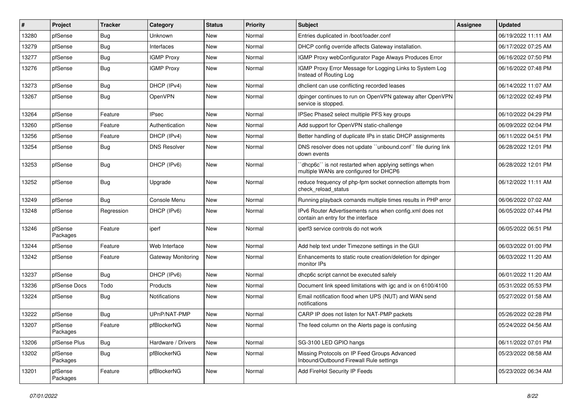| #     | Project             | <b>Tracker</b> | Category            | <b>Status</b> | <b>Priority</b> | Subject                                                                                        | Assignee | <b>Updated</b>      |
|-------|---------------------|----------------|---------------------|---------------|-----------------|------------------------------------------------------------------------------------------------|----------|---------------------|
| 13280 | pfSense             | Bug            | Unknown             | New           | Normal          | Entries duplicated in /boot/loader.conf                                                        |          | 06/19/2022 11:11 AM |
| 13279 | pfSense             | <b>Bug</b>     | Interfaces          | New           | Normal          | DHCP config override affects Gateway installation.                                             |          | 06/17/2022 07:25 AM |
| 13277 | pfSense             | <b>Bug</b>     | <b>IGMP Proxy</b>   | New           | Normal          | IGMP Proxy webConfigurator Page Always Produces Error                                          |          | 06/16/2022 07:50 PM |
| 13276 | pfSense             | Bug            | <b>IGMP Proxy</b>   | New           | Normal          | IGMP Proxy Error Message for Logging Links to System Log<br>Instead of Routing Log             |          | 06/16/2022 07:48 PM |
| 13273 | pfSense             | Bug            | DHCP (IPv4)         | New           | Normal          | dhclient can use conflicting recorded leases                                                   |          | 06/14/2022 11:07 AM |
| 13267 | pfSense             | Bug            | OpenVPN             | New           | Normal          | dpinger continues to run on OpenVPN gateway after OpenVPN<br>service is stopped.               |          | 06/12/2022 02:49 PM |
| 13264 | pfSense             | Feature        | <b>IPsec</b>        | New           | Normal          | IPSec Phase2 select multiple PFS key groups                                                    |          | 06/10/2022 04:29 PM |
| 13260 | pfSense             | Feature        | Authentication      | New           | Normal          | Add support for OpenVPN static-challenge                                                       |          | 06/09/2022 02:04 PM |
| 13256 | pfSense             | Feature        | DHCP (IPv4)         | New           | Normal          | Better handling of duplicate IPs in static DHCP assignments                                    |          | 06/11/2022 04:51 PM |
| 13254 | pfSense             | Bug            | <b>DNS Resolver</b> | New           | Normal          | DNS resolver does not update "unbound.conf" file during link<br>down events                    |          | 06/28/2022 12:01 PM |
| 13253 | pfSense             | <b>Bug</b>     | DHCP (IPv6)         | New           | Normal          | dhcp6c" is not restarted when applying settings when<br>multiple WANs are configured for DHCP6 |          | 06/28/2022 12:01 PM |
| 13252 | pfSense             | <b>Bug</b>     | Upgrade             | New           | Normal          | reduce frequency of php-fpm socket connection attempts from<br>check reload status             |          | 06/12/2022 11:11 AM |
| 13249 | pfSense             | <b>Bug</b>     | Console Menu        | New           | Normal          | Running playback comands multiple times results in PHP error                                   |          | 06/06/2022 07:02 AM |
| 13248 | pfSense             | Regression     | DHCP (IPv6)         | New           | Normal          | IPv6 Router Advertisements runs when config.xml does not<br>contain an entry for the interface |          | 06/05/2022 07:44 PM |
| 13246 | pfSense<br>Packages | Feature        | iperf               | New           | Normal          | iperf3 service controls do not work                                                            |          | 06/05/2022 06:51 PM |
| 13244 | pfSense             | Feature        | Web Interface       | New           | Normal          | Add help text under Timezone settings in the GUI                                               |          | 06/03/2022 01:00 PM |
| 13242 | pfSense             | Feature        | Gateway Monitoring  | New           | Normal          | Enhancements to static route creation/deletion for dpinger<br>monitor IPs                      |          | 06/03/2022 11:20 AM |
| 13237 | pfSense             | <b>Bug</b>     | DHCP (IPv6)         | New           | Normal          | dhcp6c script cannot be executed safely                                                        |          | 06/01/2022 11:20 AM |
| 13236 | pfSense Docs        | Todo           | Products            | New           | Normal          | Document link speed limitations with igc and ix on 6100/4100                                   |          | 05/31/2022 05:53 PM |
| 13224 | pfSense             | <b>Bug</b>     | Notifications       | New           | Normal          | Email notification flood when UPS (NUT) and WAN send<br>notifications                          |          | 05/27/2022 01:58 AM |
| 13222 | pfSense             | Bug            | UPnP/NAT-PMP        | New           | Normal          | CARP IP does not listen for NAT-PMP packets                                                    |          | 05/26/2022 02:28 PM |
| 13207 | pfSense<br>Packages | Feature        | pfBlockerNG         | New           | Normal          | The feed column on the Alerts page is confusing                                                |          | 05/24/2022 04:56 AM |
| 13206 | pfSense Plus        | Bug            | Hardware / Drivers  | New           | Normal          | SG-3100 LED GPIO hangs                                                                         |          | 06/11/2022 07:01 PM |
| 13202 | pfSense<br>Packages | Bug            | pfBlockerNG         | New           | Normal          | Missing Protocols on IP Feed Groups Advanced<br>Inbound/Outbound Firewall Rule settings        |          | 05/23/2022 08:58 AM |
| 13201 | pfSense<br>Packages | Feature        | pfBlockerNG         | New           | Normal          | Add FireHol Security IP Feeds                                                                  |          | 05/23/2022 06:34 AM |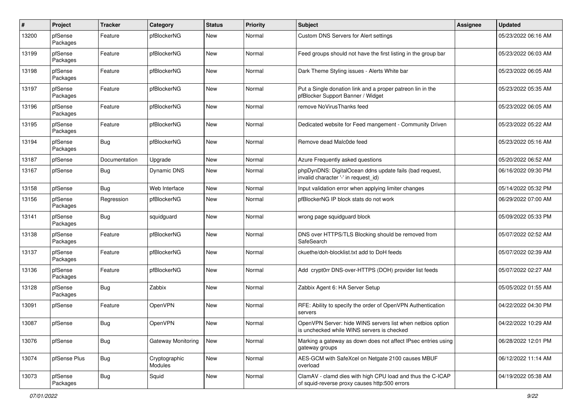| #     | Project             | <b>Tracker</b> | Category                 | <b>Status</b> | <b>Priority</b> | Subject                                                                                                     | <b>Assignee</b> | <b>Updated</b>      |
|-------|---------------------|----------------|--------------------------|---------------|-----------------|-------------------------------------------------------------------------------------------------------------|-----------------|---------------------|
| 13200 | pfSense<br>Packages | Feature        | pfBlockerNG              | New           | Normal          | Custom DNS Servers for Alert settings                                                                       |                 | 05/23/2022 06:16 AM |
| 13199 | pfSense<br>Packages | Feature        | pfBlockerNG              | New           | Normal          | Feed groups should not have the first listing in the group bar                                              |                 | 05/23/2022 06:03 AM |
| 13198 | pfSense<br>Packages | Feature        | pfBlockerNG              | New           | Normal          | Dark Theme Styling issues - Alerts White bar                                                                |                 | 05/23/2022 06:05 AM |
| 13197 | pfSense<br>Packages | Feature        | pfBlockerNG              | New           | Normal          | Put a Single donation link and a proper patreon lin in the<br>pfBlocker Support Banner / Widget             |                 | 05/23/2022 05:35 AM |
| 13196 | pfSense<br>Packages | Feature        | pfBlockerNG              | New           | Normal          | remove NoVirusThanks feed                                                                                   |                 | 05/23/2022 06:05 AM |
| 13195 | pfSense<br>Packages | Feature        | pfBlockerNG              | New           | Normal          | Dedicated website for Feed mangement - Community Driven                                                     |                 | 05/23/2022 05:22 AM |
| 13194 | pfSense<br>Packages | Bug            | pfBlockerNG              | New           | Normal          | Remove dead Malc0de feed                                                                                    |                 | 05/23/2022 05:16 AM |
| 13187 | pfSense             | Documentation  | Upgrade                  | New           | Normal          | Azure Frequently asked questions                                                                            |                 | 05/20/2022 06:52 AM |
| 13167 | pfSense             | Bug            | Dynamic DNS              | New           | Normal          | phpDynDNS: DigitalOcean ddns update fails (bad request,<br>invalid character '-' in request_id)             |                 | 06/16/2022 09:30 PM |
| 13158 | pfSense             | Bug            | Web Interface            | New           | Normal          | Input validation error when applying limiter changes                                                        |                 | 05/14/2022 05:32 PM |
| 13156 | pfSense<br>Packages | Regression     | pfBlockerNG              | New           | Normal          | pfBlockerNG IP block stats do not work                                                                      |                 | 06/29/2022 07:00 AM |
| 13141 | pfSense<br>Packages | Bug            | squidguard               | New           | Normal          | wrong page squidguard block                                                                                 |                 | 05/09/2022 05:33 PM |
| 13138 | pfSense<br>Packages | Feature        | pfBlockerNG              | New           | Normal          | DNS over HTTPS/TLS Blocking should be removed from<br>SafeSearch                                            |                 | 05/07/2022 02:52 AM |
| 13137 | pfSense<br>Packages | Feature        | pfBlockerNG              | New           | Normal          | ckuethe/doh-blocklist.txt add to DoH feeds                                                                  |                 | 05/07/2022 02:39 AM |
| 13136 | pfSense<br>Packages | Feature        | pfBlockerNG              | New           | Normal          | Add crypt0rr DNS-over-HTTPS (DOH) provider list feeds                                                       |                 | 05/07/2022 02:27 AM |
| 13128 | pfSense<br>Packages | Bug            | Zabbix                   | New           | Normal          | Zabbix Agent 6: HA Server Setup                                                                             |                 | 05/05/2022 01:55 AM |
| 13091 | pfSense             | Feature        | OpenVPN                  | New           | Normal          | RFE: Ability to specify the order of OpenVPN Authentication<br>servers                                      |                 | 04/22/2022 04:30 PM |
| 13087 | pfSense             | Bug            | OpenVPN                  | New           | Normal          | OpenVPN Server: hide WINS servers list when netbios option<br>is unchecked while WINS servers is checked    |                 | 04/22/2022 10:29 AM |
| 13076 | pfSense             | <b>Bug</b>     | Gateway Monitoring       | New           | Normal          | Marking a gateway as down does not affect IPsec entries using<br>gateway groups                             |                 | 06/28/2022 12:01 PM |
| 13074 | pfSense Plus        | <b>Bug</b>     | Cryptographic<br>Modules | New           | Normal          | AES-GCM with SafeXcel on Netgate 2100 causes MBUF<br>overload                                               |                 | 06/12/2022 11:14 AM |
| 13073 | pfSense<br>Packages | <b>Bug</b>     | Squid                    | New           | Normal          | ClamAV - clamd dies with high CPU load and thus the C-ICAP<br>of squid-reverse proxy causes http:500 errors |                 | 04/19/2022 05:38 AM |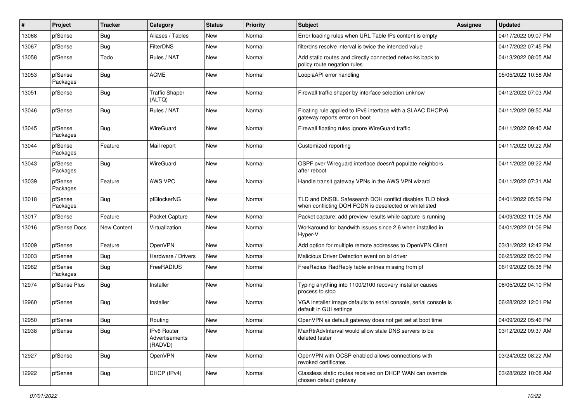| $\#$  | Project             | <b>Tracker</b> | Category                                 | <b>Status</b> | <b>Priority</b> | <b>Subject</b>                                                                                                     | Assignee | <b>Updated</b>      |
|-------|---------------------|----------------|------------------------------------------|---------------|-----------------|--------------------------------------------------------------------------------------------------------------------|----------|---------------------|
| 13068 | pfSense             | Bug            | Aliases / Tables                         | New           | Normal          | Error loading rules when URL Table IPs content is empty                                                            |          | 04/17/2022 09:07 PM |
| 13067 | pfSense             | <b>Bug</b>     | <b>FilterDNS</b>                         | New           | Normal          | filterdns resolve interval is twice the intended value                                                             |          | 04/17/2022 07:45 PM |
| 13058 | pfSense             | Todo           | Rules / NAT                              | New           | Normal          | Add static routes and directly connected networks back to<br>policy route negation rules                           |          | 04/13/2022 08:05 AM |
| 13053 | pfSense<br>Packages | Bug            | <b>ACME</b>                              | New           | Normal          | LoopiaAPI error handling                                                                                           |          | 05/05/2022 10:58 AM |
| 13051 | pfSense             | Bug            | <b>Traffic Shaper</b><br>(ALTQ)          | New           | Normal          | Firewall traffic shaper by interface selection unknow                                                              |          | 04/12/2022 07:03 AM |
| 13046 | pfSense             | Bug            | Rules / NAT                              | New           | Normal          | Floating rule applied to IPv6 interface with a SLAAC DHCPv6<br>gateway reports error on boot                       |          | 04/11/2022 09:50 AM |
| 13045 | pfSense<br>Packages | Bug            | WireGuard                                | New           | Normal          | Firewall floating rules ignore WireGuard traffic                                                                   |          | 04/11/2022 09:40 AM |
| 13044 | pfSense<br>Packages | Feature        | Mail report                              | New           | Normal          | Customized reporting                                                                                               |          | 04/11/2022 09:22 AM |
| 13043 | pfSense<br>Packages | Bug            | WireGuard                                | New           | Normal          | OSPF over Wireguard interface doesn't populate neighbors<br>after reboot                                           |          | 04/11/2022 09:22 AM |
| 13039 | pfSense<br>Packages | Feature        | AWS VPC                                  | New           | Normal          | Handle transit gateway VPNs in the AWS VPN wizard                                                                  |          | 04/11/2022 07:31 AM |
| 13018 | pfSense<br>Packages | Bug            | pfBlockerNG                              | New           | Normal          | TLD and DNSBL Safesearch DOH conflict disables TLD block<br>when conflicting DOH FQDN is deselected or whitelisted |          | 04/01/2022 05:59 PM |
| 13017 | pfSense             | Feature        | Packet Capture                           | New           | Normal          | Packet capture: add preview results while capture is running                                                       |          | 04/09/2022 11:08 AM |
| 13016 | pfSense Docs        | New Content    | Virtualization                           | New           | Normal          | Workaround for bandwith issues since 2.6 when installed in<br>Hyper-V                                              |          | 04/01/2022 01:06 PM |
| 13009 | pfSense             | Feature        | OpenVPN                                  | New           | Normal          | Add option for multiple remote addresses to OpenVPN Client                                                         |          | 03/31/2022 12:42 PM |
| 13003 | pfSense             | <b>Bug</b>     | Hardware / Drivers                       | New           | Normal          | Malicious Driver Detection event on ixl driver                                                                     |          | 06/25/2022 05:00 PM |
| 12982 | pfSense<br>Packages | Bug            | FreeRADIUS                               | New           | Normal          | FreeRadius RadReply table entries missing from pf                                                                  |          | 06/19/2022 05:38 PM |
| 12974 | pfSense Plus        | Bug            | Installer                                | New           | Normal          | Typing anything into 1100/2100 recovery installer causes<br>process to stop                                        |          | 06/05/2022 04:10 PM |
| 12960 | pfSense             | Bug            | Installer                                | New           | Normal          | VGA installer image defaults to serial console, serial console is<br>default in GUI settings                       |          | 06/28/2022 12:01 PM |
| 12950 | pfSense             | Bug            | Routing                                  | New           | Normal          | OpenVPN as default gateway does not get set at boot time                                                           |          | 04/09/2022 05:46 PM |
| 12938 | pfSense             | Bug            | IPv6 Router<br>Advertisements<br>(RADVD) | New           | Normal          | MaxRtrAdvInterval would allow stale DNS servers to be<br>deleted faster                                            |          | 03/12/2022 09:37 AM |
| 12927 | pfSense             | Bug            | OpenVPN                                  | New           | Normal          | OpenVPN with OCSP enabled allows connections with<br>revoked certificates                                          |          | 03/24/2022 08:22 AM |
| 12922 | pfSense             | Bug            | DHCP (IPv4)                              | New           | Normal          | Classless static routes received on DHCP WAN can override<br>chosen default gateway                                |          | 03/28/2022 10:08 AM |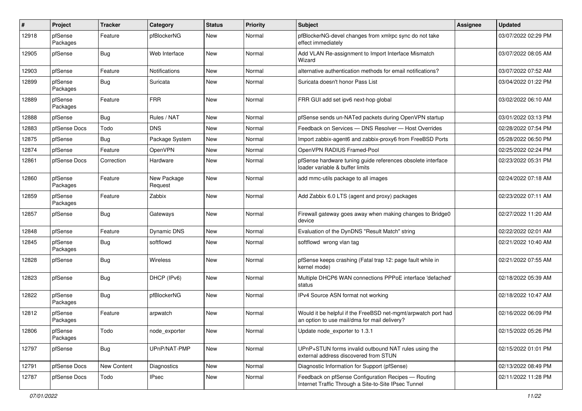| ∦     | Project             | <b>Tracker</b> | Category               | <b>Status</b> | <b>Priority</b> | <b>Subject</b>                                                                                                | <b>Assignee</b> | <b>Updated</b>      |
|-------|---------------------|----------------|------------------------|---------------|-----------------|---------------------------------------------------------------------------------------------------------------|-----------------|---------------------|
| 12918 | pfSense<br>Packages | Feature        | pfBlockerNG            | New           | Normal          | pfBlockerNG-devel changes from xmlrpc sync do not take<br>effect immediately                                  |                 | 03/07/2022 02:29 PM |
| 12905 | pfSense             | Bug            | Web Interface          | <b>New</b>    | Normal          | Add VLAN Re-assignment to Import Interface Mismatch<br>Wizard                                                 |                 | 03/07/2022 08:05 AM |
| 12903 | pfSense             | Feature        | Notifications          | <b>New</b>    | Normal          | alternative authentication methods for email notifications?                                                   |                 | 03/07/2022 07:52 AM |
| 12899 | pfSense<br>Packages | Bug            | Suricata               | New           | Normal          | Suricata doesn't honor Pass List                                                                              |                 | 03/04/2022 01:22 PM |
| 12889 | pfSense<br>Packages | Feature        | <b>FRR</b>             | <b>New</b>    | Normal          | FRR GUI add set ipv6 next-hop global                                                                          |                 | 03/02/2022 06:10 AM |
| 12888 | pfSense             | Bug            | Rules / NAT            | New           | Normal          | pfSense sends un-NATed packets during OpenVPN startup                                                         |                 | 03/01/2022 03:13 PM |
| 12883 | pfSense Docs        | Todo           | <b>DNS</b>             | New           | Normal          | Feedback on Services - DNS Resolver - Host Overrides                                                          |                 | 02/28/2022 07:54 PM |
| 12875 | pfSense             | <b>Bug</b>     | Package System         | New           | Normal          | Import zabbix-agent6 and zabbix-proxy6 from FreeBSD Ports                                                     |                 | 05/28/2022 06:50 PM |
| 12874 | pfSense             | Feature        | OpenVPN                | <b>New</b>    | Normal          | OpenVPN RADIUS Framed-Pool                                                                                    |                 | 02/25/2022 02:24 PM |
| 12861 | pfSense Docs        | Correction     | Hardware               | New           | Normal          | pfSense hardware tuning guide references obsolete interface<br>loader variable & buffer limits                |                 | 02/23/2022 05:31 PM |
| 12860 | pfSense<br>Packages | Feature        | New Package<br>Request | <b>New</b>    | Normal          | add mmc-utils package to all images                                                                           |                 | 02/24/2022 07:18 AM |
| 12859 | pfSense<br>Packages | Feature        | Zabbix                 | New           | Normal          | Add Zabbix 6.0 LTS (agent and proxy) packages                                                                 |                 | 02/23/2022 07:11 AM |
| 12857 | pfSense             | Bug            | Gateways               | New           | Normal          | Firewall gateway goes away when making changes to Bridge0<br>device                                           |                 | 02/27/2022 11:20 AM |
| 12848 | pfSense             | Feature        | Dynamic DNS            | New           | Normal          | Evaluation of the DynDNS "Result Match" string                                                                |                 | 02/22/2022 02:01 AM |
| 12845 | pfSense<br>Packages | Bug            | softflowd              | New           | Normal          | softflowd wrong vlan tag                                                                                      |                 | 02/21/2022 10:40 AM |
| 12828 | pfSense             | <b>Bug</b>     | Wireless               | <b>New</b>    | Normal          | pfSense keeps crashing (Fatal trap 12: page fault while in<br>kernel mode)                                    |                 | 02/21/2022 07:55 AM |
| 12823 | pfSense             | Bug            | DHCP (IPv6)            | <b>New</b>    | Normal          | Multiple DHCP6 WAN connections PPPoE interface 'defached'<br>status                                           |                 | 02/18/2022 05:39 AM |
| 12822 | pfSense<br>Packages | Bug            | pfBlockerNG            | New           | Normal          | IPv4 Source ASN format not working                                                                            |                 | 02/18/2022 10:47 AM |
| 12812 | pfSense<br>Packages | Feature        | arpwatch               | New           | Normal          | Would it be helpful if the FreeBSD net-mgmt/arpwatch port had<br>an option to use mail/dma for mail delivery? |                 | 02/16/2022 06:09 PM |
| 12806 | pfSense<br>Packages | Todo           | node_exporter          | New           | Normal          | Update node_exporter to 1.3.1                                                                                 |                 | 02/15/2022 05:26 PM |
| 12797 | pfSense             | Bug            | UPnP/NAT-PMP           | New           | Normal          | UPnP+STUN forms invalid outbound NAT rules using the<br>external address discovered from STUN                 |                 | 02/15/2022 01:01 PM |
| 12791 | pfSense Docs        | New Content    | <b>Diagnostics</b>     | New           | Normal          | Diagnostic Information for Support (pfSense)                                                                  |                 | 02/13/2022 08:49 PM |
| 12787 | pfSense Docs        | Todo           | <b>IPsec</b>           | New           | Normal          | Feedback on pfSense Configuration Recipes - Routing<br>Internet Traffic Through a Site-to-Site IPsec Tunnel   |                 | 02/11/2022 11:28 PM |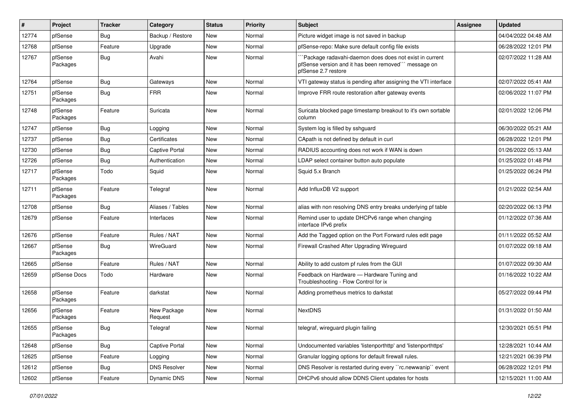| #     | Project             | <b>Tracker</b> | Category               | <b>Status</b> | <b>Priority</b> | Subject                                                                                                                               | Assignee | <b>Updated</b>      |
|-------|---------------------|----------------|------------------------|---------------|-----------------|---------------------------------------------------------------------------------------------------------------------------------------|----------|---------------------|
| 12774 | pfSense             | <b>Bug</b>     | Backup / Restore       | New           | Normal          | Picture widget image is not saved in backup                                                                                           |          | 04/04/2022 04:48 AM |
| 12768 | pfSense             | Feature        | Upgrade                | New           | Normal          | pfSense-repo: Make sure default config file exists                                                                                    |          | 06/28/2022 12:01 PM |
| 12767 | pfSense<br>Packages | <b>Bug</b>     | Avahi                  | New           | Normal          | 'Package radavahi-daemon does does not exist in current<br>pfSense version and it has been removed" message on<br>pfSense 2.7 restore |          | 02/07/2022 11:28 AM |
| 12764 | pfSense             | <b>Bug</b>     | Gateways               | New           | Normal          | VTI gateway status is pending after assigning the VTI interface                                                                       |          | 02/07/2022 05:41 AM |
| 12751 | pfSense<br>Packages | Bug            | <b>FRR</b>             | New           | Normal          | Improve FRR route restoration after gateway events                                                                                    |          | 02/06/2022 11:07 PM |
| 12748 | pfSense<br>Packages | Feature        | Suricata               | New           | Normal          | Suricata blocked page timestamp breakout to it's own sortable<br>column                                                               |          | 02/01/2022 12:06 PM |
| 12747 | pfSense             | Bug            | Logging                | New           | Normal          | System log is filled by sshguard                                                                                                      |          | 06/30/2022 05:21 AM |
| 12737 | pfSense             | <b>Bug</b>     | Certificates           | New           | Normal          | CApath is not defined by default in curl                                                                                              |          | 06/28/2022 12:01 PM |
| 12730 | pfSense             | Bug            | Captive Portal         | New           | Normal          | RADIUS accounting does not work if WAN is down                                                                                        |          | 01/26/2022 05:13 AM |
| 12726 | pfSense             | Bug            | Authentication         | New           | Normal          | LDAP select container button auto populate                                                                                            |          | 01/25/2022 01:48 PM |
| 12717 | pfSense<br>Packages | Todo           | Squid                  | New           | Normal          | Squid 5.x Branch                                                                                                                      |          | 01/25/2022 06:24 PM |
| 12711 | pfSense<br>Packages | Feature        | Telegraf               | New           | Normal          | Add InfluxDB V2 support                                                                                                               |          | 01/21/2022 02:54 AM |
| 12708 | pfSense             | Bug            | Aliases / Tables       | New           | Normal          | alias with non resolving DNS entry breaks underlying pf table                                                                         |          | 02/20/2022 06:13 PM |
| 12679 | pfSense             | Feature        | Interfaces             | New           | Normal          | Remind user to update DHCPv6 range when changing<br>interface IPv6 prefix                                                             |          | 01/12/2022 07:36 AM |
| 12676 | pfSense             | Feature        | Rules / NAT            | New           | Normal          | Add the Tagged option on the Port Forward rules edit page                                                                             |          | 01/11/2022 05:52 AM |
| 12667 | pfSense<br>Packages | Bug            | WireGuard              | New           | Normal          | Firewall Crashed After Upgrading Wireguard                                                                                            |          | 01/07/2022 09:18 AM |
| 12665 | pfSense             | Feature        | Rules / NAT            | New           | Normal          | Ability to add custom pf rules from the GUI                                                                                           |          | 01/07/2022 09:30 AM |
| 12659 | pfSense Docs        | Todo           | Hardware               | New           | Normal          | Feedback on Hardware - Hardware Tuning and<br>Troubleshooting - Flow Control for ix                                                   |          | 01/16/2022 10:22 AM |
| 12658 | pfSense<br>Packages | Feature        | darkstat               | New           | Normal          | Adding prometheus metrics to darkstat                                                                                                 |          | 05/27/2022 09:44 PM |
| 12656 | pfSense<br>Packages | Feature        | New Package<br>Request | New           | Normal          | <b>NextDNS</b>                                                                                                                        |          | 01/31/2022 01:50 AM |
| 12655 | pfSense<br>Packages | Bug            | Telegraf               | New           | Normal          | telegraf, wireguard plugin failing                                                                                                    |          | 12/30/2021 05:51 PM |
| 12648 | pfSense             | Bug            | Captive Portal         | New           | Normal          | Undocumented variables 'listenporthttp' and 'listenporthttps'                                                                         |          | 12/28/2021 10:44 AM |
| 12625 | pfSense             | Feature        | Logging                | New           | Normal          | Granular logging options for default firewall rules.                                                                                  |          | 12/21/2021 06:39 PM |
| 12612 | pfSense             | <b>Bug</b>     | <b>DNS Resolver</b>    | New           | Normal          | DNS Resolver is restarted during every "rc.newwanip" event                                                                            |          | 06/28/2022 12:01 PM |
| 12602 | pfSense             | Feature        | Dynamic DNS            | New           | Normal          | DHCPv6 should allow DDNS Client updates for hosts                                                                                     |          | 12/15/2021 11:00 AM |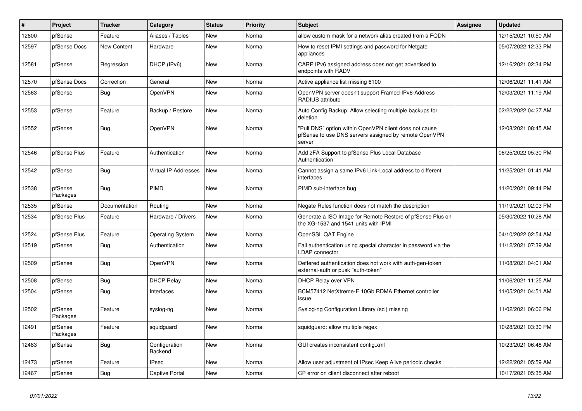| $\vert$ # | Project             | <b>Tracker</b> | Category                    | <b>Status</b> | <b>Priority</b> | <b>Subject</b>                                                                                                            | Assignee | <b>Updated</b>      |
|-----------|---------------------|----------------|-----------------------------|---------------|-----------------|---------------------------------------------------------------------------------------------------------------------------|----------|---------------------|
| 12600     | pfSense             | Feature        | Aliases / Tables            | New           | Normal          | allow custom mask for a network alias created from a FQDN                                                                 |          | 12/15/2021 10:50 AM |
| 12597     | pfSense Docs        | New Content    | Hardware                    | New           | Normal          | How to reset IPMI settings and password for Netgate<br>appliances                                                         |          | 05/07/2022 12:33 PM |
| 12581     | pfSense             | Regression     | DHCP (IPv6)                 | New           | Normal          | CARP IPv6 assigned address does not get advertised to<br>endpoints with RADV                                              |          | 12/16/2021 02:34 PM |
| 12570     | pfSense Docs        | Correction     | General                     | New           | Normal          | Active appliance list missing 6100                                                                                        |          | 12/06/2021 11:41 AM |
| 12563     | pfSense             | <b>Bug</b>     | OpenVPN                     | New           | Normal          | OpenVPN server doesn't support Framed-IPv6-Address<br><b>RADIUS attribute</b>                                             |          | 12/03/2021 11:19 AM |
| 12553     | pfSense             | Feature        | Backup / Restore            | New           | Normal          | Auto Config Backup: Allow selecting multiple backups for<br>deletion                                                      |          | 02/22/2022 04:27 AM |
| 12552     | pfSense             | <b>Bug</b>     | OpenVPN                     | New           | Normal          | "Pull DNS" option within OpenVPN client does not cause<br>pfSense to use DNS servers assigned by remote OpenVPN<br>server |          | 12/08/2021 08:45 AM |
| 12546     | pfSense Plus        | Feature        | Authentication              | <b>New</b>    | Normal          | Add 2FA Support to pfSense Plus Local Database<br>Authentication                                                          |          | 06/25/2022 05:30 PM |
| 12542     | pfSense             | <b>Bug</b>     | <b>Virtual IP Addresses</b> | <b>New</b>    | Normal          | Cannot assign a same IPv6 Link-Local address to different<br>interfaces                                                   |          | 11/25/2021 01:41 AM |
| 12538     | pfSense<br>Packages | Bug            | PIMD                        | New           | Normal          | PIMD sub-interface bug                                                                                                    |          | 11/20/2021 09:44 PM |
| 12535     | pfSense             | Documentation  | Routing                     | New           | Normal          | Negate Rules function does not match the description                                                                      |          | 11/19/2021 02:03 PM |
| 12534     | pfSense Plus        | Feature        | Hardware / Drivers          | New           | Normal          | Generate a ISO Image for Remote Restore of pfSense Plus on<br>the XG-1537 and 1541 units with IPMI                        |          | 05/30/2022 10:28 AM |
| 12524     | pfSense Plus        | Feature        | <b>Operating System</b>     | New           | Normal          | OpenSSL QAT Engine                                                                                                        |          | 04/10/2022 02:54 AM |
| 12519     | pfSense             | Bug            | Authentication              | New           | Normal          | Fail authentication using special character in password via the<br><b>LDAP</b> connector                                  |          | 11/12/2021 07:39 AM |
| 12509     | pfSense             | <b>Bug</b>     | OpenVPN                     | <b>New</b>    | Normal          | Deffered authentication does not work with auth-gen-token<br>external-auth or pusk "auth-token"                           |          | 11/08/2021 04:01 AM |
| 12508     | pfSense             | Bug            | <b>DHCP Relay</b>           | New           | Normal          | <b>DHCP Relay over VPN</b>                                                                                                |          | 11/06/2021 11:25 AM |
| 12504     | pfSense             | <b>Bug</b>     | Interfaces                  | New           | Normal          | BCM57412 NetXtreme-E 10Gb RDMA Ethernet controller<br>issue                                                               |          | 11/05/2021 04:51 AM |
| 12502     | pfSense<br>Packages | Feature        | syslog-ng                   | New           | Normal          | Syslog-ng Configuration Library (scl) missing                                                                             |          | 11/02/2021 06:06 PM |
| 12491     | pfSense<br>Packages | Feature        | squidguard                  | New           | Normal          | squidguard: allow multiple regex                                                                                          |          | 10/28/2021 03:30 PM |
| 12483     | pfSense             | Bug            | Configuration<br>Backend    | New           | Normal          | GUI creates inconsistent config.xml                                                                                       |          | 10/23/2021 06:48 AM |
| 12473     | pfSense             | Feature        | <b>IPsec</b>                | <b>New</b>    | Normal          | Allow user adjustment of IPsec Keep Alive periodic checks                                                                 |          | 12/22/2021 05:59 AM |
| 12467     | pfSense             | <b>Bug</b>     | <b>Captive Portal</b>       | <b>New</b>    | Normal          | CP error on client disconnect after reboot                                                                                |          | 10/17/2021 05:35 AM |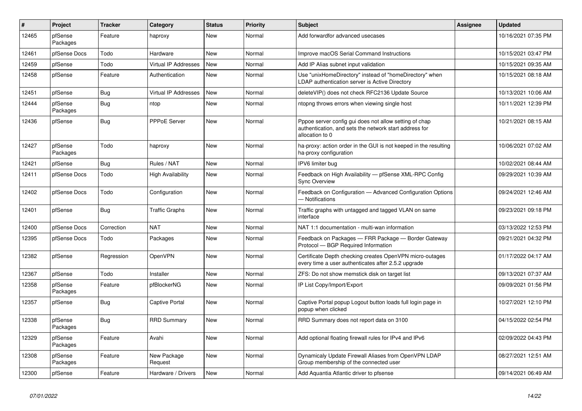| $\#$  | Project             | <b>Tracker</b> | Category                    | <b>Status</b> | <b>Priority</b> | <b>Subject</b>                                                                                                                      | <b>Assignee</b> | <b>Updated</b>      |
|-------|---------------------|----------------|-----------------------------|---------------|-----------------|-------------------------------------------------------------------------------------------------------------------------------------|-----------------|---------------------|
| 12465 | pfSense<br>Packages | Feature        | haproxy                     | New           | Normal          | Add forwardfor advanced usecases                                                                                                    |                 | 10/16/2021 07:35 PM |
| 12461 | pfSense Docs        | Todo           | Hardware                    | <b>New</b>    | Normal          | Improve macOS Serial Command Instructions                                                                                           |                 | 10/15/2021 03:47 PM |
| 12459 | pfSense             | Todo           | Virtual IP Addresses        | New           | Normal          | Add IP Alias subnet input validation                                                                                                |                 | 10/15/2021 09:35 AM |
| 12458 | pfSense             | Feature        | Authentication              | New           | Normal          | Use "unixHomeDirectory" instead of "homeDirectory" when<br>LDAP authentication server is Active Directory                           |                 | 10/15/2021 08:18 AM |
| 12451 | pfSense             | <b>Bug</b>     | <b>Virtual IP Addresses</b> | New           | Normal          | deleteVIP() does not check RFC2136 Update Source                                                                                    |                 | 10/13/2021 10:06 AM |
| 12444 | pfSense<br>Packages | Bug            | ntop                        | New           | Normal          | ntopng throws errors when viewing single host                                                                                       |                 | 10/11/2021 12:39 PM |
| 12436 | pfSense             | Bug            | <b>PPPoE Server</b>         | <b>New</b>    | Normal          | Pppoe server config gui does not allow setting of chap<br>authentication, and sets the network start address for<br>allocation to 0 |                 | 10/21/2021 08:15 AM |
| 12427 | pfSense<br>Packages | Todo           | haproxy                     | New           | Normal          | ha-proxy: action order in the GUI is not keeped in the resulting<br>ha-proxy configuration                                          |                 | 10/06/2021 07:02 AM |
| 12421 | pfSense             | Bug            | Rules / NAT                 | New           | Normal          | IPV6 limiter bug                                                                                                                    |                 | 10/02/2021 08:44 AM |
| 12411 | pfSense Docs        | Todo           | <b>High Availability</b>    | <b>New</b>    | Normal          | Feedback on High Availability - pfSense XML-RPC Config<br><b>Sync Overview</b>                                                      |                 | 09/29/2021 10:39 AM |
| 12402 | pfSense Docs        | Todo           | Configuration               | <b>New</b>    | Normal          | Feedback on Configuration - Advanced Configuration Options<br>— Notifications                                                       |                 | 09/24/2021 12:46 AM |
| 12401 | pfSense             | Bug            | <b>Traffic Graphs</b>       | New           | Normal          | Traffic graphs with untagged and tagged VLAN on same<br>interface                                                                   |                 | 09/23/2021 09:18 PM |
| 12400 | pfSense Docs        | Correction     | <b>NAT</b>                  | New           | Normal          | NAT 1:1 documentation - multi-wan information                                                                                       |                 | 03/13/2022 12:53 PM |
| 12395 | pfSense Docs        | Todo           | Packages                    | New           | Normal          | Feedback on Packages - FRR Package - Border Gateway<br>Protocol - BGP Required Information                                          |                 | 09/21/2021 04:32 PM |
| 12382 | pfSense             | Regression     | OpenVPN                     | New           | Normal          | Certificate Depth checking creates OpenVPN micro-outages<br>every time a user authenticates after 2.5.2 upgrade                     |                 | 01/17/2022 04:17 AM |
| 12367 | pfSense             | Todo           | Installer                   | New           | Normal          | ZFS: Do not show memstick disk on target list                                                                                       |                 | 09/13/2021 07:37 AM |
| 12358 | pfSense<br>Packages | Feature        | pfBlockerNG                 | New           | Normal          | IP List Copy/Import/Export                                                                                                          |                 | 09/09/2021 01:56 PM |
| 12357 | pfSense             | Bug            | Captive Portal              | <b>New</b>    | Normal          | Captive Portal popup Logout button loads full login page in<br>popup when clicked                                                   |                 | 10/27/2021 12:10 PM |
| 12338 | pfSense<br>Packages | <b>Bug</b>     | <b>RRD Summary</b>          | <b>New</b>    | Normal          | RRD Summary does not report data on 3100                                                                                            |                 | 04/15/2022 02:54 PM |
| 12329 | pfSense<br>Packages | Feature        | Avahi                       | <b>New</b>    | Normal          | Add optional floating firewall rules for IPv4 and IPv6                                                                              |                 | 02/09/2022 04:43 PM |
| 12308 | pfSense<br>Packages | Feature        | New Package<br>Request      | New           | Normal          | Dynamicaly Update Firewall Aliases from OpenVPN LDAP<br>Group membership of the connected user                                      |                 | 08/27/2021 12:51 AM |
| 12300 | pfSense             | Feature        | Hardware / Drivers          | New           | Normal          | Add Aquantia Atlantic driver to pfsense                                                                                             |                 | 09/14/2021 06:49 AM |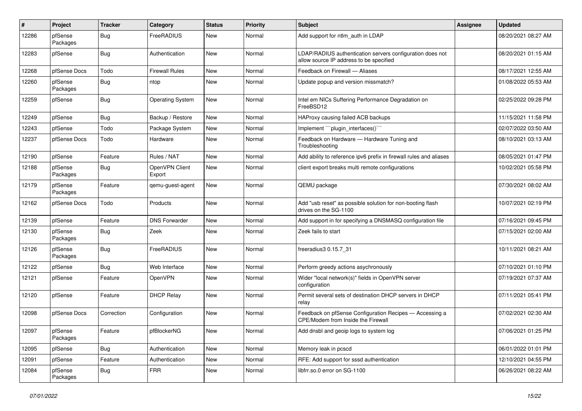| #     | Project             | <b>Tracker</b> | Category                 | <b>Status</b> | <b>Priority</b> | <b>Subject</b>                                                                                       | <b>Assignee</b> | <b>Updated</b>      |
|-------|---------------------|----------------|--------------------------|---------------|-----------------|------------------------------------------------------------------------------------------------------|-----------------|---------------------|
| 12286 | pfSense<br>Packages | Bug            | FreeRADIUS               | New           | Normal          | Add support for ntlm_auth in LDAP                                                                    |                 | 08/20/2021 08:27 AM |
| 12283 | pfSense             | <b>Bug</b>     | Authentication           | <b>New</b>    | Normal          | LDAP/RADIUS authentication servers configuration does not<br>allow source IP address to be specified |                 | 08/20/2021 01:15 AM |
| 12268 | pfSense Docs        | Todo           | <b>Firewall Rules</b>    | <b>New</b>    | Normal          | Feedback on Firewall - Aliases                                                                       |                 | 08/17/2021 12:55 AM |
| 12260 | pfSense<br>Packages | Bug            | ntop                     | New           | Normal          | Update popup and version missmatch?                                                                  |                 | 01/08/2022 05:53 AM |
| 12259 | pfSense             | <b>Bug</b>     | <b>Operating System</b>  | New           | Normal          | Intel em NICs Suffering Performance Degradation on<br>FreeBSD12                                      |                 | 02/25/2022 09:28 PM |
| 12249 | pfSense             | Bug            | Backup / Restore         | <b>New</b>    | Normal          | HAProxy causing failed ACB backups                                                                   |                 | 11/15/2021 11:58 PM |
| 12243 | pfSense             | Todo           | Package System           | New           | Normal          | Implement "``plugin_interfaces()```                                                                  |                 | 02/07/2022 03:50 AM |
| 12237 | pfSense Docs        | Todo           | Hardware                 | New           | Normal          | Feedback on Hardware - Hardware Tuning and<br>Troubleshooting                                        |                 | 08/10/2021 03:13 AM |
| 12190 | pfSense             | Feature        | Rules / NAT              | <b>New</b>    | Normal          | Add ability to reference ipv6 prefix in firewall rules and aliases                                   |                 | 08/05/2021 01:47 PM |
| 12188 | pfSense<br>Packages | Bug            | OpenVPN Client<br>Export | New           | Normal          | client export breaks multi remote configurations                                                     |                 | 10/02/2021 05:58 PM |
| 12179 | pfSense<br>Packages | Feature        | qemu-guest-agent         | New           | Normal          | QEMU package                                                                                         |                 | 07/30/2021 08:02 AM |
| 12162 | pfSense Docs        | Todo           | Products                 | <b>New</b>    | Normal          | Add "usb reset" as possible solution for non-booting flash<br>drives on the SG-1100                  |                 | 10/07/2021 02:19 PM |
| 12139 | pfSense             | Feature        | <b>DNS Forwarder</b>     | <b>New</b>    | Normal          | Add support in for specifying a DNSMASQ configuration file                                           |                 | 07/16/2021 09:45 PM |
| 12130 | pfSense<br>Packages | Bug            | Zeek                     | New           | Normal          | Zeek fails to start                                                                                  |                 | 07/15/2021 02:00 AM |
| 12126 | pfSense<br>Packages | <b>Bug</b>     | FreeRADIUS               | <b>New</b>    | Normal          | freeradius3 0.15.7 31                                                                                |                 | 10/11/2021 08:21 AM |
| 12122 | pfSense             | Bug            | Web Interface            | New           | Normal          | Perform greedy actions asychronously                                                                 |                 | 07/10/2021 01:10 PM |
| 12121 | pfSense             | Feature        | OpenVPN                  | New           | Normal          | Wider "local network(s)" fields in OpenVPN server<br>configuration                                   |                 | 07/19/2021 07:37 AM |
| 12120 | pfSense             | Feature        | <b>DHCP Relay</b>        | New           | Normal          | Permit several sets of destination DHCP servers in DHCP<br>relay                                     |                 | 07/11/2021 05:41 PM |
| 12098 | pfSense Docs        | Correction     | Configuration            | <b>New</b>    | Normal          | Feedback on pfSense Configuration Recipes - Accessing a<br>CPE/Modem from Inside the Firewall        |                 | 07/02/2021 02:30 AM |
| 12097 | pfSense<br>Packages | Feature        | pfBlockerNG              | New           | Normal          | Add dnsbl and geoip logs to system log                                                               |                 | 07/06/2021 01:25 PM |
| 12095 | pfSense             | Bug            | Authentication           | New           | Normal          | Memory leak in pcscd                                                                                 |                 | 06/01/2022 01:01 PM |
| 12091 | pfSense             | Feature        | Authentication           | New           | Normal          | RFE: Add support for sssd authentication                                                             |                 | 12/10/2021 04:55 PM |
| 12084 | pfSense<br>Packages | Bug            | <b>FRR</b>               | New           | Normal          | libfrr.so.0 error on SG-1100                                                                         |                 | 06/26/2021 08:22 AM |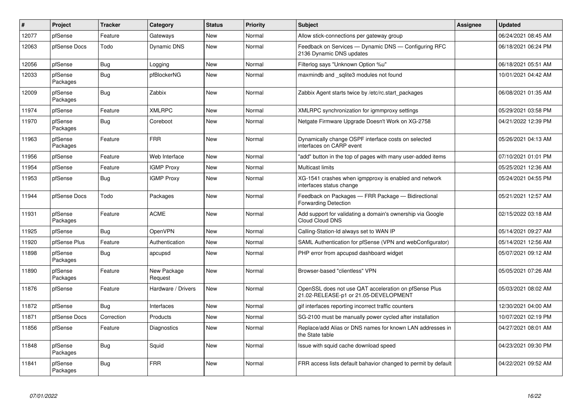| $\vert$ # | <b>Project</b>      | <b>Tracker</b> | Category               | <b>Status</b> | <b>Priority</b> | <b>Subject</b>                                                                                 | <b>Assignee</b> | <b>Updated</b>      |
|-----------|---------------------|----------------|------------------------|---------------|-----------------|------------------------------------------------------------------------------------------------|-----------------|---------------------|
| 12077     | pfSense             | Feature        | Gateways               | <b>New</b>    | Normal          | Allow stick-connections per gateway group                                                      |                 | 06/24/2021 08:45 AM |
| 12063     | pfSense Docs        | Todo           | Dynamic DNS            | <b>New</b>    | Normal          | Feedback on Services - Dynamic DNS - Configuring RFC<br>2136 Dynamic DNS updates               |                 | 06/18/2021 06:24 PM |
| 12056     | pfSense             | <b>Bug</b>     | Logging                | <b>New</b>    | Normal          | Filterlog says "Unknown Option %u"                                                             |                 | 06/18/2021 05:51 AM |
| 12033     | pfSense<br>Packages | Bug            | pfBlockerNG            | <b>New</b>    | Normal          | maxmindb and sqlite3 modules not found                                                         |                 | 10/01/2021 04:42 AM |
| 12009     | pfSense<br>Packages | Bug            | Zabbix                 | New           | Normal          | Zabbix Agent starts twice by /etc/rc.start packages                                            |                 | 06/08/2021 01:35 AM |
| 11974     | pfSense             | Feature        | <b>XMLRPC</b>          | New           | Normal          | XMLRPC synchronization for igmmproxy settings                                                  |                 | 05/29/2021 03:58 PM |
| 11970     | pfSense<br>Packages | <b>Bug</b>     | Coreboot               | <b>New</b>    | Normal          | Netgate Firmware Upgrade Doesn't Work on XG-2758                                               |                 | 04/21/2022 12:39 PM |
| 11963     | pfSense<br>Packages | Feature        | <b>FRR</b>             | New           | Normal          | Dynamically change OSPF interface costs on selected<br>interfaces on CARP event                |                 | 05/26/2021 04:13 AM |
| 11956     | pfSense             | Feature        | Web Interface          | New           | Normal          | "add" button in the top of pages with many user-added items                                    |                 | 07/10/2021 01:01 PM |
| 11954     | pfSense             | Feature        | <b>IGMP Proxy</b>      | New           | Normal          | Multicast limits                                                                               |                 | 05/25/2021 12:36 AM |
| 11953     | pfSense             | <b>Bug</b>     | <b>IGMP Proxy</b>      | New           | Normal          | XG-1541 crashes when igmpproxy is enabled and network<br>interfaces status change              |                 | 05/24/2021 04:55 PM |
| 11944     | pfSense Docs        | Todo           | Packages               | <b>New</b>    | Normal          | Feedback on Packages - FRR Package - Bidirectional<br><b>Forwarding Detection</b>              |                 | 05/21/2021 12:57 AM |
| 11931     | pfSense<br>Packages | Feature        | <b>ACME</b>            | New           | Normal          | Add support for validating a domain's ownership via Google<br>Cloud Cloud DNS                  |                 | 02/15/2022 03:18 AM |
| 11925     | pfSense             | Bug            | OpenVPN                | New           | Normal          | Calling-Station-Id always set to WAN IP                                                        |                 | 05/14/2021 09:27 AM |
| 11920     | pfSense Plus        | Feature        | Authentication         | <b>New</b>    | Normal          | SAML Authentication for pfSense (VPN and webConfigurator)                                      |                 | 05/14/2021 12:56 AM |
| 11898     | pfSense<br>Packages | Bug            | apcupsd                | New           | Normal          | PHP error from apcupsd dashboard widget                                                        |                 | 05/07/2021 09:12 AM |
| 11890     | pfSense<br>Packages | Feature        | New Package<br>Request | <b>New</b>    | Normal          | Browser-based "clientless" VPN                                                                 |                 | 05/05/2021 07:26 AM |
| 11876     | pfSense             | Feature        | Hardware / Drivers     | <b>New</b>    | Normal          | OpenSSL does not use QAT acceleration on pfSense Plus<br>21.02-RELEASE-p1 or 21.05-DEVELOPMENT |                 | 05/03/2021 08:02 AM |
| 11872     | pfSense             | <b>Bug</b>     | Interfaces             | <b>New</b>    | Normal          | gif interfaces reporting incorrect traffic counters                                            |                 | 12/30/2021 04:00 AM |
| 11871     | pfSense Docs        | Correction     | Products               | <b>New</b>    | Normal          | SG-2100 must be manually power cycled after installation                                       |                 | 10/07/2021 02:19 PM |
| 11856     | pfSense             | Feature        | Diagnostics            | <b>New</b>    | Normal          | Replace/add Alias or DNS names for known LAN addresses in<br>the State table                   |                 | 04/27/2021 08:01 AM |
| 11848     | pfSense<br>Packages | <b>Bug</b>     | Squid                  | New           | Normal          | Issue with squid cache download speed                                                          |                 | 04/23/2021 09:30 PM |
| 11841     | pfSense<br>Packages | Bug            | <b>FRR</b>             | <b>New</b>    | Normal          | FRR access lists default bahavior changed to permit by default                                 |                 | 04/22/2021 09:52 AM |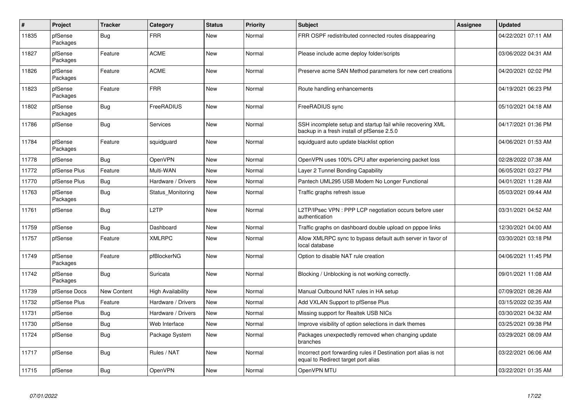| $\vert$ # | Project             | <b>Tracker</b>     | Category                 | <b>Status</b> | <b>Priority</b> | <b>Subject</b>                                                                                           | <b>Assignee</b> | <b>Updated</b>      |
|-----------|---------------------|--------------------|--------------------------|---------------|-----------------|----------------------------------------------------------------------------------------------------------|-----------------|---------------------|
| 11835     | pfSense<br>Packages | Bug                | <b>FRR</b>               | New           | Normal          | FRR OSPF redistributed connected routes disappearing                                                     |                 | 04/22/2021 07:11 AM |
| 11827     | pfSense<br>Packages | Feature            | <b>ACME</b>              | <b>New</b>    | Normal          | Please include acme deploy folder/scripts                                                                |                 | 03/06/2022 04:31 AM |
| 11826     | pfSense<br>Packages | Feature            | <b>ACME</b>              | <b>New</b>    | Normal          | Preserve acme SAN Method parameters for new cert creations                                               |                 | 04/20/2021 02:02 PM |
| 11823     | pfSense<br>Packages | Feature            | <b>FRR</b>               | <b>New</b>    | Normal          | Route handling enhancements                                                                              |                 | 04/19/2021 06:23 PM |
| 11802     | pfSense<br>Packages | <b>Bug</b>         | FreeRADIUS               | <b>New</b>    | Normal          | FreeRADIUS sync                                                                                          |                 | 05/10/2021 04:18 AM |
| 11786     | pfSense             | <b>Bug</b>         | Services                 | New           | Normal          | SSH incomplete setup and startup fail while recovering XML<br>backup in a fresh install of pfSense 2.5.0 |                 | 04/17/2021 01:36 PM |
| 11784     | pfSense<br>Packages | Feature            | squidguard               | New           | Normal          | squidguard auto update blacklist option                                                                  |                 | 04/06/2021 01:53 AM |
| 11778     | pfSense             | Bug                | OpenVPN                  | New           | Normal          | OpenVPN uses 100% CPU after experiencing packet loss                                                     |                 | 02/28/2022 07:38 AM |
| 11772     | pfSense Plus        | Feature            | Multi-WAN                | <b>New</b>    | Normal          | Layer 2 Tunnel Bonding Capability                                                                        |                 | 06/05/2021 03:27 PM |
| 11770     | pfSense Plus        | <b>Bug</b>         | Hardware / Drivers       | New           | Normal          | Pantech UML295 USB Modem No Longer Functional                                                            |                 | 04/01/2021 11:28 AM |
| 11763     | pfSense<br>Packages | Bug                | Status Monitoring        | New           | Normal          | Traffic graphs refresh issue                                                                             |                 | 05/03/2021 09:44 AM |
| 11761     | pfSense             | <b>Bug</b>         | L <sub>2</sub> TP        | New           | Normal          | L2TP/IPsec VPN: PPP LCP negotiation occurs before user<br>authentication                                 |                 | 03/31/2021 04:52 AM |
| 11759     | pfSense             | Bug                | Dashboard                | <b>New</b>    | Normal          | Traffic graphs on dashboard double upload on pppoe links                                                 |                 | 12/30/2021 04:00 AM |
| 11757     | pfSense             | Feature            | <b>XMLRPC</b>            | New           | Normal          | Allow XMLRPC sync to bypass default auth server in favor of<br>local database                            |                 | 03/30/2021 03:18 PM |
| 11749     | pfSense<br>Packages | Feature            | pfBlockerNG              | New           | Normal          | Option to disable NAT rule creation                                                                      |                 | 04/06/2021 11:45 PM |
| 11742     | pfSense<br>Packages | Bug                | Suricata                 | <b>New</b>    | Normal          | Blocking / Unblocking is not working correctly.                                                          |                 | 09/01/2021 11:08 AM |
| 11739     | pfSense Docs        | <b>New Content</b> | <b>High Availability</b> | <b>New</b>    | Normal          | Manual Outbound NAT rules in HA setup                                                                    |                 | 07/09/2021 08:26 AM |
| 11732     | pfSense Plus        | Feature            | Hardware / Drivers       | New           | Normal          | Add VXLAN Support to pfSense Plus                                                                        |                 | 03/15/2022 02:35 AM |
| 11731     | pfSense             | Bug                | Hardware / Drivers       | New           | Normal          | Missing support for Realtek USB NICs                                                                     |                 | 03/30/2021 04:32 AM |
| 11730     | pfSense             | <b>Bug</b>         | Web Interface            | New           | Normal          | Improve visibility of option selections in dark themes                                                   |                 | 03/25/2021 09:38 PM |
| 11724     | pfSense             | <b>Bug</b>         | Package System           | New           | Normal          | Packages unexpectedly removed when changing update<br>branches                                           |                 | 03/29/2021 08:09 AM |
| 11717     | pfSense             | <b>Bug</b>         | Rules / NAT              | New           | Normal          | Incorrect port forwarding rules if Destination port alias is not<br>equal to Redirect target port alias  |                 | 03/22/2021 06:06 AM |
| 11715     | pfSense             | Bug                | OpenVPN                  | New           | Normal          | OpenVPN MTU                                                                                              |                 | 03/22/2021 01:35 AM |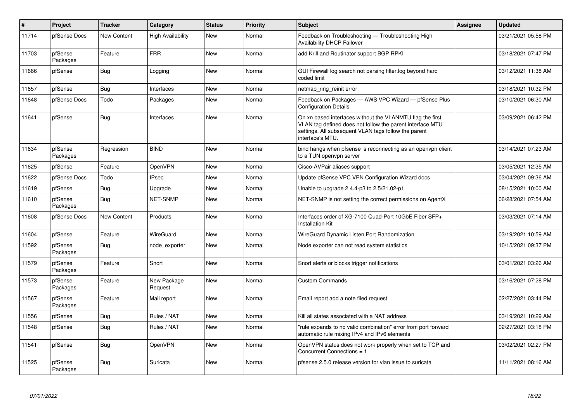| $\vert$ # | Project             | <b>Tracker</b> | Category                 | <b>Status</b> | <b>Priority</b> | <b>Subject</b>                                                                                                                                                                                     | <b>Assignee</b> | <b>Updated</b>      |
|-----------|---------------------|----------------|--------------------------|---------------|-----------------|----------------------------------------------------------------------------------------------------------------------------------------------------------------------------------------------------|-----------------|---------------------|
| 11714     | pfSense Docs        | New Content    | <b>High Availability</b> | <b>New</b>    | Normal          | Feedback on Troubleshooting - Troubleshooting High<br><b>Availability DHCP Failover</b>                                                                                                            |                 | 03/21/2021 05:58 PM |
| 11703     | pfSense<br>Packages | Feature        | <b>FRR</b>               | New           | Normal          | add Krill and Routinator support BGP RPKI                                                                                                                                                          |                 | 03/18/2021 07:47 PM |
| 11666     | pfSense             | <b>Bug</b>     | Logging                  | <b>New</b>    | Normal          | GUI Firewall log search not parsing filter.log beyond hard<br>coded limit                                                                                                                          |                 | 03/12/2021 11:38 AM |
| 11657     | pfSense             | Bug            | Interfaces               | New           | Normal          | netmap_ring_reinit error                                                                                                                                                                           |                 | 03/18/2021 10:32 PM |
| 11648     | pfSense Docs        | Todo           | Packages                 | New           | Normal          | Feedback on Packages - AWS VPC Wizard - pfSense Plus<br><b>Configuration Details</b>                                                                                                               |                 | 03/10/2021 06:30 AM |
| 11641     | pfSense             | Bug            | Interfaces               | <b>New</b>    | Normal          | On xn based interfaces without the VLANMTU flag the first<br>VLAN tag defined does not follow the parent interface MTU<br>settings. All subsequent VLAN tags follow the parent<br>interface's MTU. |                 | 03/09/2021 06:42 PM |
| 11634     | pfSense<br>Packages | Regression     | <b>BIND</b>              | <b>New</b>    | Normal          | bind hangs when pfsense is reconnecting as an openvpn client<br>to a TUN openvpn server                                                                                                            |                 | 03/14/2021 07:23 AM |
| 11625     | pfSense             | Feature        | OpenVPN                  | <b>New</b>    | Normal          | Cisco-AVPair aliases support                                                                                                                                                                       |                 | 03/05/2021 12:35 AM |
| 11622     | pfSense Docs        | Todo           | <b>IPsec</b>             | <b>New</b>    | Normal          | Update pfSense VPC VPN Configuration Wizard docs                                                                                                                                                   |                 | 03/04/2021 09:36 AM |
| 11619     | pfSense             | Bug            | Upgrade                  | <b>New</b>    | Normal          | Unable to upgrade 2.4.4-p3 to 2.5/21.02-p1                                                                                                                                                         |                 | 08/15/2021 10:00 AM |
| 11610     | pfSense<br>Packages | Bug            | <b>NET-SNMP</b>          | <b>New</b>    | Normal          | NET-SNMP is not setting the correct permissions on AgentX                                                                                                                                          |                 | 06/28/2021 07:54 AM |
| 11608     | pfSense Docs        | New Content    | Products                 | <b>New</b>    | Normal          | Interfaces order of XG-7100 Quad-Port 10GbE Fiber SFP+<br><b>Installation Kit</b>                                                                                                                  |                 | 03/03/2021 07:14 AM |
| 11604     | pfSense             | Feature        | WireGuard                | <b>New</b>    | Normal          | WireGuard Dynamic Listen Port Randomization                                                                                                                                                        |                 | 03/19/2021 10:59 AM |
| 11592     | pfSense<br>Packages | Bug            | node_exporter            | New           | Normal          | Node exporter can not read system statistics                                                                                                                                                       |                 | 10/15/2021 09:37 PM |
| 11579     | pfSense<br>Packages | Feature        | Snort                    | <b>New</b>    | Normal          | Snort alerts or blocks trigger notifications                                                                                                                                                       |                 | 03/01/2021 03:26 AM |
| 11573     | pfSense<br>Packages | Feature        | New Package<br>Request   | <b>New</b>    | Normal          | <b>Custom Commands</b>                                                                                                                                                                             |                 | 03/16/2021 07:28 PM |
| 11567     | pfSense<br>Packages | Feature        | Mail report              | <b>New</b>    | Normal          | Email report add a note filed request                                                                                                                                                              |                 | 02/27/2021 03:44 PM |
| 11556     | pfSense             | Bug            | Rules / NAT              | New           | Normal          | Kill all states associated with a NAT address                                                                                                                                                      |                 | 03/19/2021 10:29 AM |
| 11548     | pfSense             | <b>Bug</b>     | Rules / NAT              | <b>New</b>    | Normal          | "rule expands to no valid combination" error from port forward<br>automatic rule mixing IPv4 and IPv6 elements                                                                                     |                 | 02/27/2021 03:18 PM |
| 11541     | pfSense             | <b>Bug</b>     | OpenVPN                  | <b>New</b>    | Normal          | OpenVPN status does not work properly when set to TCP and<br>Concurrent Connections = 1                                                                                                            |                 | 03/02/2021 02:27 PM |
| 11525     | pfSense<br>Packages | Bug            | Suricata                 | <b>New</b>    | Normal          | pfsense 2.5.0 release version for vlan issue to suricata                                                                                                                                           |                 | 11/11/2021 08:16 AM |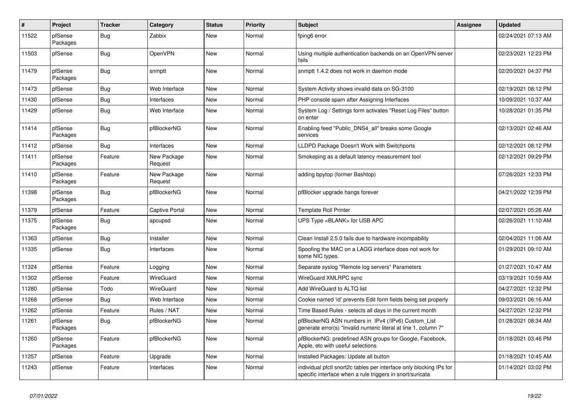| $\sharp$ | Project             | <b>Tracker</b> | Category               | <b>Status</b> | <b>Priority</b> | <b>Subject</b>                                                                                                                   | <b>Assignee</b> | <b>Updated</b>      |
|----------|---------------------|----------------|------------------------|---------------|-----------------|----------------------------------------------------------------------------------------------------------------------------------|-----------------|---------------------|
| 11522    | pfSense<br>Packages | Bug            | Zabbix                 | New           | Normal          | fping6 error                                                                                                                     |                 | 02/24/2021 07:13 AM |
| 11503    | pfSense             | <b>Bug</b>     | <b>OpenVPN</b>         | New           | Normal          | Using multiple authentication backends on an OpenVPN server<br>fails                                                             |                 | 02/23/2021 12:23 PM |
| 11479    | pfSense<br>Packages | Bug            | snmptt                 | New           | Normal          | snmptt 1.4.2 does not work in daemon mode                                                                                        |                 | 02/20/2021 04:37 PM |
| 11473    | pfSense             | Bug            | Web Interface          | New           | Normal          | System Activity shows invalid data on SG-3100                                                                                    |                 | 02/19/2021 08:12 PM |
| 11430    | pfSense             | Bug            | Interfaces             | New           | Normal          | PHP console spam after Assigning Interfaces                                                                                      |                 | 10/09/2021 10:37 AM |
| 11429    | pfSense             | <b>Bug</b>     | Web Interface          | New           | Normal          | System Log / Settings form activates "Reset Log Files" button<br>on enter                                                        |                 | 10/28/2021 01:35 PM |
| 11414    | pfSense<br>Packages | Bug            | pfBlockerNG            | New           | Normal          | Enabling feed "Public DNS4 all" breaks some Google<br>services                                                                   |                 | 02/13/2021 02:46 AM |
| 11412    | pfSense             | Bug            | Interfaces             | New           | Normal          | LLDPD Package Doesn't Work with Switchports                                                                                      |                 | 02/12/2021 08:12 PM |
| 11411    | pfSense<br>Packages | Feature        | New Package<br>Request | New           | Normal          | Smokeping as a default latency measurement tool                                                                                  |                 | 02/12/2021 09:29 PM |
| 11410    | pfSense<br>Packages | Feature        | New Package<br>Request | New           | Normal          | adding bpytop (former Bashtop)                                                                                                   |                 | 07/26/2021 12:33 PM |
| 11398    | pfSense<br>Packages | <b>Bug</b>     | pfBlockerNG            | New           | Normal          | pfBlocker upgrade hangs forever                                                                                                  |                 | 04/21/2022 12:39 PM |
| 11379    | pfSense             | Feature        | Captive Portal         | <b>New</b>    | Normal          | <b>Template Roll Printer</b>                                                                                                     |                 | 02/07/2021 05:26 AM |
| 11375    | pfSense<br>Packages | <b>Bug</b>     | apcupsd                | New           | Normal          | UPS Type <blank> for USB APC</blank>                                                                                             |                 | 02/26/2021 11:10 AM |
| 11363    | pfSense             | Bug            | Installer              | New           | Normal          | Clean Install 2.5.0 fails due to hardware incompability                                                                          |                 | 02/04/2021 11:06 AM |
| 11335    | pfSense             | Bug            | Interfaces             | New           | Normal          | Spoofing the MAC on a LAGG interface does not work for<br>some NIC types.                                                        |                 | 01/29/2021 09:10 AM |
| 11324    | pfSense             | Feature        | Logging                | New           | Normal          | Separate syslog "Remote log servers" Parameters                                                                                  |                 | 01/27/2021 10:47 AM |
| 11302    | pfSense             | Feature        | WireGuard              | New           | Normal          | WireGuard XMLRPC sync                                                                                                            |                 | 03/19/2021 10:59 AM |
| 11280    | pfSense             | Todo           | WireGuard              | New           | Normal          | Add WireGuard to ALTQ list                                                                                                       |                 | 04/27/2021 12:32 PM |
| 11268    | pfSense             | <b>Bug</b>     | Web Interface          | New           | Normal          | Cookie named 'id' prevents Edit form fields being set properly                                                                   |                 | 09/03/2021 06:16 AM |
| 11262    | pfSense             | Feature        | Rules / NAT            | New           | Normal          | Time Based Rules - selects all days in the current month                                                                         |                 | 04/27/2021 12:32 PM |
| 11261    | pfSense<br>Packages | <b>Bug</b>     | pfBlockerNG            | New           | Normal          | pfBlockerNG ASN numbers in IPv4 (/IPv6) Custom List<br>generate error(s) "Invalid numeric literal at line 1, column 7"           |                 | 01/28/2021 08:34 AM |
| 11260    | pfSense<br>Packages | Feature        | pfBlockerNG            | New           | Normal          | pfBlockerNG: predefined ASN groups for Google, Facebook,<br>Apple, etc with useful selections                                    |                 | 01/18/2021 03:46 PM |
| 11257    | pfSense             | Feature        | Upgrade                | New           | Normal          | Installed Packages: Update all button                                                                                            |                 | 01/18/2021 10:45 AM |
| 11243    | pfSense             | Feature        | Interfaces             | New           | Normal          | individual pfctl snort2c tables per interface only blocking IPs for<br>specific interface when a rule triggers in snort/suricata |                 | 01/14/2021 03:02 PM |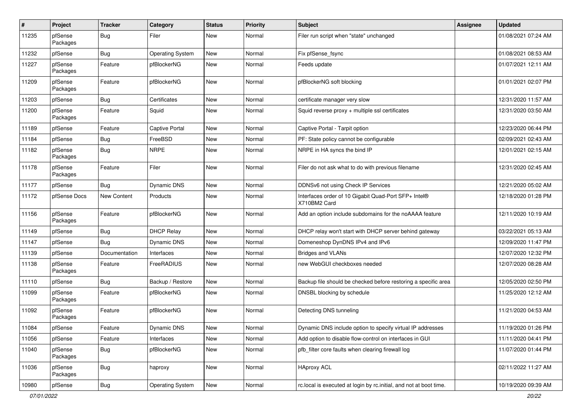| #     | Project             | <b>Tracker</b> | Category                | <b>Status</b> | <b>Priority</b> | <b>Subject</b>                                                       | Assignee | <b>Updated</b>      |
|-------|---------------------|----------------|-------------------------|---------------|-----------------|----------------------------------------------------------------------|----------|---------------------|
| 11235 | pfSense<br>Packages | Bug            | Filer                   | New           | Normal          | Filer run script when "state" unchanged                              |          | 01/08/2021 07:24 AM |
| 11232 | pfSense             | Bug            | <b>Operating System</b> | New           | Normal          | Fix pfSense_fsync                                                    |          | 01/08/2021 08:53 AM |
| 11227 | pfSense<br>Packages | Feature        | pfBlockerNG             | New           | Normal          | Feeds update                                                         |          | 01/07/2021 12:11 AM |
| 11209 | pfSense<br>Packages | Feature        | pfBlockerNG             | New           | Normal          | pfBlockerNG soft blocking                                            |          | 01/01/2021 02:07 PM |
| 11203 | pfSense             | Bug            | Certificates            | New           | Normal          | certificate manager very slow                                        |          | 12/31/2020 11:57 AM |
| 11200 | pfSense<br>Packages | Feature        | Squid                   | New           | Normal          | Squid reverse proxy + multiple ssl certificates                      |          | 12/31/2020 03:50 AM |
| 11189 | pfSense             | Feature        | <b>Captive Portal</b>   | New           | Normal          | Captive Portal - Tarpit option                                       |          | 12/23/2020 06:44 PM |
| 11184 | pfSense             | Bug            | FreeBSD                 | New           | Normal          | PF: State policy cannot be configurable                              |          | 02/09/2021 02:43 AM |
| 11182 | pfSense<br>Packages | <b>Bug</b>     | <b>NRPE</b>             | New           | Normal          | NRPE in HA syncs the bind IP                                         |          | 12/01/2021 02:15 AM |
| 11178 | pfSense<br>Packages | Feature        | Filer                   | New           | Normal          | Filer do not ask what to do with previous filename                   |          | 12/31/2020 02:45 AM |
| 11177 | pfSense             | Bug            | Dynamic DNS             | New           | Normal          | DDNSv6 not using Check IP Services                                   |          | 12/21/2020 05:02 AM |
| 11172 | pfSense Docs        | New Content    | Products                | New           | Normal          | Interfaces order of 10 Gigabit Quad-Port SFP+ Intel®<br>X710BM2 Card |          | 12/18/2020 01:28 PM |
| 11156 | pfSense<br>Packages | Feature        | pfBlockerNG             | New           | Normal          | Add an option include subdomains for the noAAAA feature              |          | 12/11/2020 10:19 AM |
| 11149 | pfSense             | Bug            | <b>DHCP Relay</b>       | New           | Normal          | DHCP relay won't start with DHCP server behind gateway               |          | 03/22/2021 05:13 AM |
| 11147 | pfSense             | Bug            | Dynamic DNS             | New           | Normal          | Domeneshop DynDNS IPv4 and IPv6                                      |          | 12/09/2020 11:47 PM |
| 11139 | pfSense             | Documentation  | Interfaces              | New           | Normal          | <b>Bridges and VLANs</b>                                             |          | 12/07/2020 12:32 PM |
| 11138 | pfSense<br>Packages | Feature        | FreeRADIUS              | New           | Normal          | new WebGUI checkboxes needed                                         |          | 12/07/2020 08:28 AM |
| 11110 | pfSense             | Bug            | Backup / Restore        | New           | Normal          | Backup file should be checked before restoring a specific area       |          | 12/05/2020 02:50 PM |
| 11099 | pfSense<br>Packages | Feature        | pfBlockerNG             | New           | Normal          | DNSBL blocking by schedule                                           |          | 11/25/2020 12:12 AM |
| 11092 | pfSense<br>Packages | Feature        | pfBlockerNG             | New           | Normal          | Detecting DNS tunneling                                              |          | 11/21/2020 04:53 AM |
| 11084 | pfSense             | Feature        | Dynamic DNS             | New           | Normal          | Dynamic DNS include option to specify virtual IP addresses           |          | 11/19/2020 01:26 PM |
| 11056 | pfSense             | Feature        | Interfaces              | New           | Normal          | Add option to disable flow-control on interfaces in GUI              |          | 11/11/2020 04:41 PM |
| 11040 | pfSense<br>Packages | <b>Bug</b>     | pfBlockerNG             | New           | Normal          | pfb filter core faults when clearing firewall log                    |          | 11/07/2020 01:44 PM |
| 11036 | pfSense<br>Packages | Bug            | haproxy                 | New           | Normal          | <b>HAproxy ACL</b>                                                   |          | 02/11/2022 11:27 AM |
| 10980 | pfSense             | Bug            | <b>Operating System</b> | New           | Normal          | rc.local is executed at login by rc.initial, and not at boot time.   |          | 10/19/2020 09:39 AM |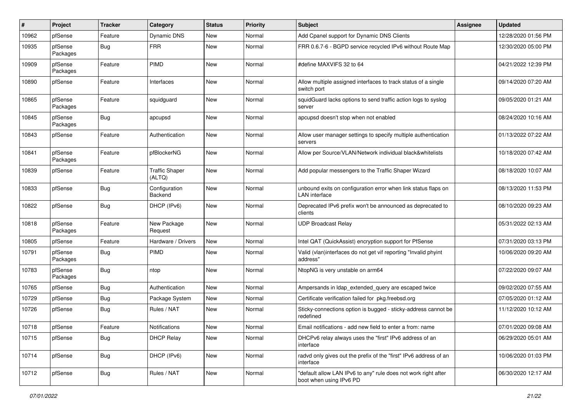| ∦     | Project             | <b>Tracker</b> | Category                        | <b>Status</b> | <b>Priority</b> | Subject                                                                                   | <b>Assignee</b> | <b>Updated</b>      |
|-------|---------------------|----------------|---------------------------------|---------------|-----------------|-------------------------------------------------------------------------------------------|-----------------|---------------------|
| 10962 | pfSense             | Feature        | Dynamic DNS                     | New           | Normal          | Add Cpanel support for Dynamic DNS Clients                                                |                 | 12/28/2020 01:56 PM |
| 10935 | pfSense<br>Packages | <b>Bug</b>     | <b>FRR</b>                      | <b>New</b>    | Normal          | FRR 0.6.7-6 - BGPD service recycled IPv6 without Route Map                                |                 | 12/30/2020 05:00 PM |
| 10909 | pfSense<br>Packages | Feature        | PIMD                            | <b>New</b>    | Normal          | #define MAXVIFS 32 to 64                                                                  |                 | 04/21/2022 12:39 PM |
| 10890 | pfSense             | Feature        | Interfaces                      | New           | Normal          | Allow multiple assigned interfaces to track status of a single<br>switch port             |                 | 09/14/2020 07:20 AM |
| 10865 | pfSense<br>Packages | Feature        | squidguard                      | New           | Normal          | squidGuard lacks options to send traffic action logs to syslog<br>server                  |                 | 09/05/2020 01:21 AM |
| 10845 | pfSense<br>Packages | Bug            | apcupsd                         | <b>New</b>    | Normal          | apcupsd doesn't stop when not enabled                                                     |                 | 08/24/2020 10:16 AM |
| 10843 | pfSense             | Feature        | Authentication                  | New           | Normal          | Allow user manager settings to specify multiple authentication<br>servers                 |                 | 01/13/2022 07:22 AM |
| 10841 | pfSense<br>Packages | Feature        | pfBlockerNG                     | New           | Normal          | Allow per Source/VLAN/Network individual black&whitelists                                 |                 | 10/18/2020 07:42 AM |
| 10839 | pfSense             | Feature        | <b>Traffic Shaper</b><br>(ALTQ) | New           | Normal          | Add popular messengers to the Traffic Shaper Wizard                                       |                 | 08/18/2020 10:07 AM |
| 10833 | pfSense             | Bug            | Configuration<br>Backend        | New           | Normal          | unbound exits on configuration error when link status flaps on<br><b>LAN</b> interface    |                 | 08/13/2020 11:53 PM |
| 10822 | pfSense             | Bug            | DHCP (IPv6)                     | New           | Normal          | Deprecated IPv6 prefix won't be announced as deprecated to<br>clients                     |                 | 08/10/2020 09:23 AM |
| 10818 | pfSense<br>Packages | Feature        | New Package<br>Request          | New           | Normal          | <b>UDP Broadcast Relay</b>                                                                |                 | 05/31/2022 02:13 AM |
| 10805 | pfSense             | Feature        | Hardware / Drivers              | <b>New</b>    | Normal          | Intel QAT (QuickAssist) encryption support for PfSense                                    |                 | 07/31/2020 03:13 PM |
| 10791 | pfSense<br>Packages | <b>Bug</b>     | PIMD                            | New           | Normal          | Valid (vlan)interfaces do not get vif reporting "Invalid phyint<br>address"               |                 | 10/06/2020 09:20 AM |
| 10783 | pfSense<br>Packages | <b>Bug</b>     | ntop                            | New           | Normal          | NtopNG is very unstable on arm64                                                          |                 | 07/22/2020 09:07 AM |
| 10765 | pfSense             | <b>Bug</b>     | Authentication                  | <b>New</b>    | Normal          | Ampersands in Idap_extended_query are escaped twice                                       |                 | 09/02/2020 07:55 AM |
| 10729 | pfSense             | Bug            | Package System                  | New           | Normal          | Certificate verification failed for pkg.freebsd.org                                       |                 | 07/05/2020 01:12 AM |
| 10726 | pfSense             | Bug            | Rules / NAT                     | New           | Normal          | Sticky-connections option is bugged - sticky-address cannot be<br>redefined               |                 | 11/12/2020 10:12 AM |
| 10718 | pfSense             | Feature        | Notifications                   | New           | Normal          | Email notifications - add new field to enter a from: name                                 |                 | 07/01/2020 09:08 AM |
| 10715 | pfSense             | Bug            | <b>DHCP Relay</b>               | New           | Normal          | DHCPv6 relay always uses the "first" IPv6 address of an<br>interface                      |                 | 06/29/2020 05:01 AM |
| 10714 | pfSense             | Bug            | DHCP (IPv6)                     | New           | Normal          | radvd only gives out the prefix of the "first" IPv6 address of an<br>interface            |                 | 10/06/2020 01:03 PM |
| 10712 | pfSense             | <b>Bug</b>     | Rules / NAT                     | New           | Normal          | "default allow LAN IPv6 to any" rule does not work right after<br>boot when using IPv6 PD |                 | 06/30/2020 12:17 AM |